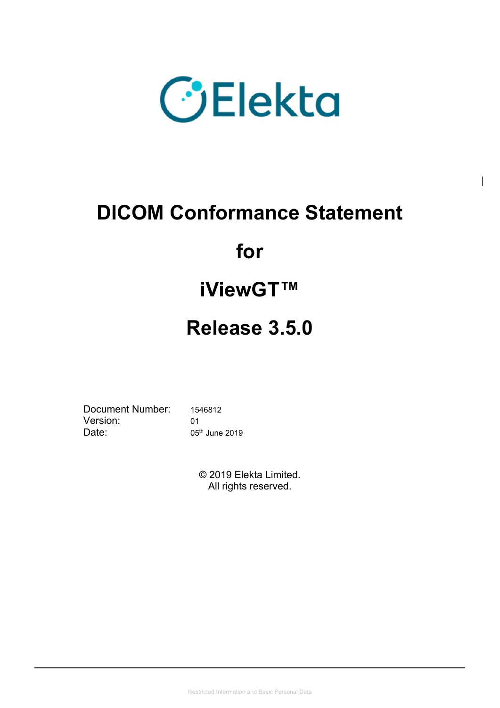

# **DICOM Conformance Statement**

# **for**

# **iViewGT™**

# **Release 3.5.0**

Document Number: 1546812 Version: 01 Date:  $05<sup>th</sup>$  June 2019

© 2019 Elekta Limited. All rights reserved.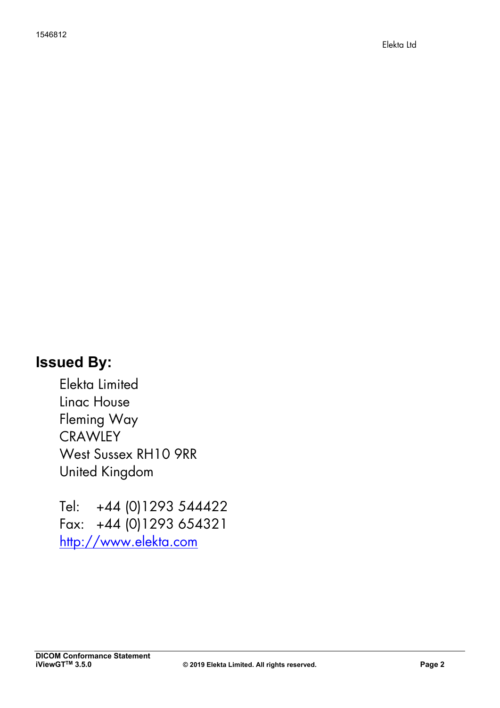### **Issued By:**

Elekta Limited Linac House Fleming Way **CRAWLEY** West Sussex RH10 9RR United Kingdom

Tel: +44 (0)1293 544422 Fax: +44 (0)1293 654321 http://www.elekta.com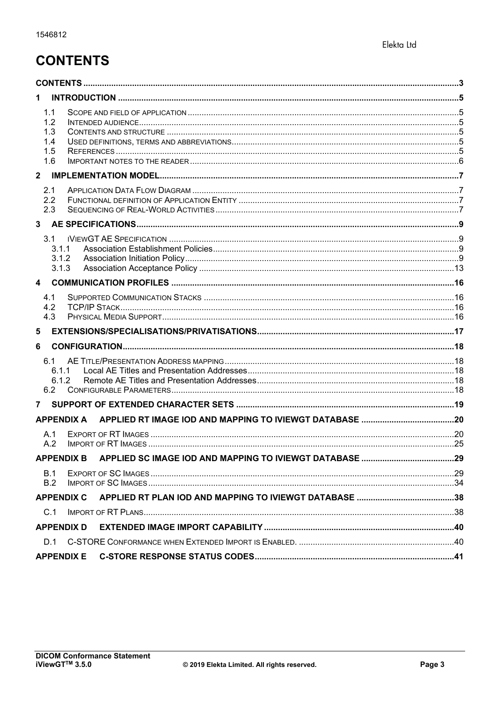## **CONTENTS**

| 1                                      |  |
|----------------------------------------|--|
| 1.1<br>1.2<br>1.3<br>1.4<br>1.5<br>1.6 |  |
| $\mathbf{2}$                           |  |
| 2.1<br>2.2<br>2.3                      |  |
|                                        |  |
| 3.1<br>3.1.1<br>3.1.2<br>3.1.3         |  |
| $\overline{4}$                         |  |
| 4.1                                    |  |
| 4.2<br>4.3                             |  |
| 5                                      |  |
| 6                                      |  |
| 6.1                                    |  |
| 6.1.1                                  |  |
| 6.1.2                                  |  |
| 6.2                                    |  |
| 7                                      |  |
| <b>APPENDIX A</b>                      |  |
| A.1                                    |  |
| A.2                                    |  |
| <b>APPENDIX B</b>                      |  |
| B.1                                    |  |
| B.2                                    |  |
| <b>APPENDIX C</b>                      |  |
| C.1                                    |  |
| <b>APPENDIX D</b>                      |  |
| D.1                                    |  |
|                                        |  |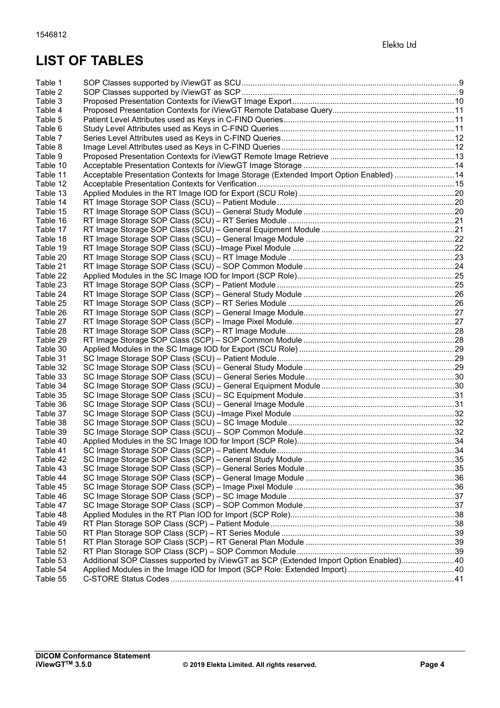### **LIST OF TABLES**

| Table 1              |                                                                                        |  |
|----------------------|----------------------------------------------------------------------------------------|--|
| Table 2              |                                                                                        |  |
| Table 3              |                                                                                        |  |
| Table 4              |                                                                                        |  |
| Table 5              |                                                                                        |  |
| Table 6              |                                                                                        |  |
| Table 7              |                                                                                        |  |
| Table 8              |                                                                                        |  |
| Table 9              |                                                                                        |  |
| Table 10             |                                                                                        |  |
| Table 11             | Acceptable Presentation Contexts for Image Storage (Extended Import Option Enabled) 14 |  |
| Table 12             |                                                                                        |  |
| Table 13<br>Table 14 |                                                                                        |  |
|                      |                                                                                        |  |
| Table 15<br>Table 16 |                                                                                        |  |
| Table 17             |                                                                                        |  |
| Table 18             |                                                                                        |  |
| Table 19             |                                                                                        |  |
|                      |                                                                                        |  |
| Table 20             |                                                                                        |  |
| Table 21<br>Table 22 |                                                                                        |  |
| Table 23             |                                                                                        |  |
| Table 24             |                                                                                        |  |
| Table 25             |                                                                                        |  |
| Table 26             |                                                                                        |  |
| Table 27             |                                                                                        |  |
| Table 28             |                                                                                        |  |
| Table 29             |                                                                                        |  |
| Table 30             |                                                                                        |  |
| Table 31             |                                                                                        |  |
| Table 32             |                                                                                        |  |
| Table 33             |                                                                                        |  |
| Table 34             |                                                                                        |  |
| Table 35             |                                                                                        |  |
| Table 36             |                                                                                        |  |
| Table 37             |                                                                                        |  |
| Table 38             |                                                                                        |  |
| Table 39             |                                                                                        |  |
| Table 40             |                                                                                        |  |
| Table 41             |                                                                                        |  |
| Table 42             |                                                                                        |  |
| Table 43             |                                                                                        |  |
| Table 44             |                                                                                        |  |
| Table 45             |                                                                                        |  |
| Table 46             |                                                                                        |  |
| Table 47             |                                                                                        |  |
| Table 48             |                                                                                        |  |
| Table 49             |                                                                                        |  |
| Table 50             |                                                                                        |  |
| Table 51             |                                                                                        |  |
| Table 52             |                                                                                        |  |
| Table 53             | Additional SOP Classes supported by iViewGT as SCP (Extended Import Option Enabled)40  |  |
| Table 54             |                                                                                        |  |
| Table 55             |                                                                                        |  |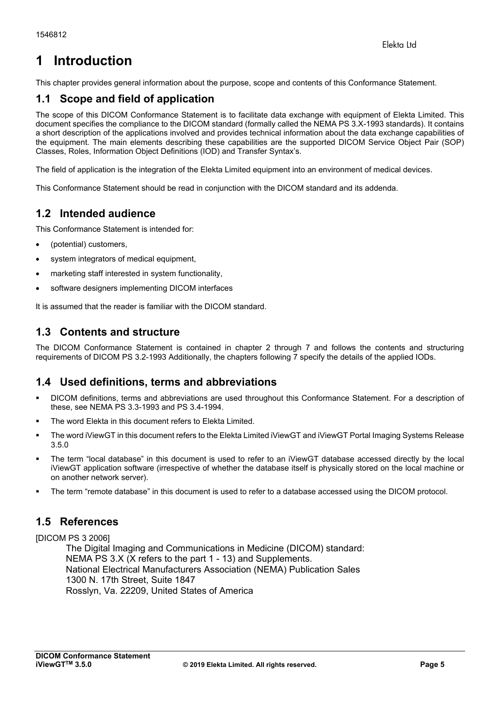This chapter provides general information about the purpose, scope and contents of this Conformance Statement.

#### **1.1 Scope and field of application**

The scope of this DICOM Conformance Statement is to facilitate data exchange with equipment of Elekta Limited. This document specifies the compliance to the DICOM standard (formally called the NEMA PS 3.X-1993 standards). It contains a short description of the applications involved and provides technical information about the data exchange capabilities of the equipment. The main elements describing these capabilities are the supported DICOM Service Object Pair (SOP) Classes, Roles, Information Object Definitions (IOD) and Transfer Syntax's.

The field of application is the integration of the Elekta Limited equipment into an environment of medical devices.

This Conformance Statement should be read in conjunction with the DICOM standard and its addenda.

#### **1.2 Intended audience**

This Conformance Statement is intended for:

- (potential) customers,
- system integrators of medical equipment,
- marketing staff interested in system functionality,
- software designers implementing DICOM interfaces

It is assumed that the reader is familiar with the DICOM standard.

#### **1.3 Contents and structure**

The DICOM Conformance Statement is contained in chapter 2 through 7 and follows the contents and structuring requirements of DICOM PS 3.2-1993 Additionally, the chapters following 7 specify the details of the applied IODs.

#### **1.4 Used definitions, terms and abbreviations**

- DICOM definitions, terms and abbreviations are used throughout this Conformance Statement. For a description of these, see NEMA PS 3.3-1993 and PS 3.4-1994.
- The word Elekta in this document refers to Elekta Limited.
- The word iViewGT in this document refers to the Elekta Limited iViewGT and iViewGT Portal Imaging Systems Release 3.5.0
- The term "local database" in this document is used to refer to an iViewGT database accessed directly by the local iViewGT application software (irrespective of whether the database itself is physically stored on the local machine or on another network server).
- The term "remote database" in this document is used to refer to a database accessed using the DICOM protocol.

### **1.5 References**

[DICOM PS 3 2006]

The Digital Imaging and Communications in Medicine (DICOM) standard: NEMA PS 3.X (X refers to the part 1 - 13) and Supplements. National Electrical Manufacturers Association (NEMA) Publication Sales 1300 N. 17th Street, Suite 1847 Rosslyn, Va. 22209, United States of America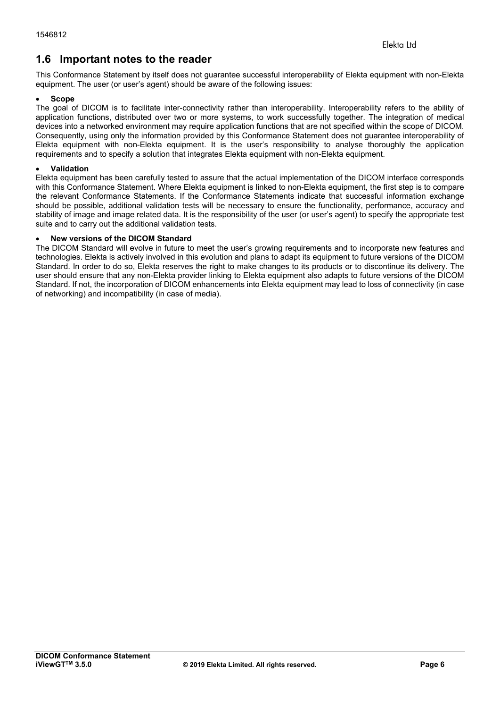#### **1.6 Important notes to the reader**

This Conformance Statement by itself does not guarantee successful interoperability of Elekta equipment with non-Elekta equipment. The user (or user's agent) should be aware of the following issues:

#### **Scope**

The goal of DICOM is to facilitate inter-connectivity rather than interoperability. Interoperability refers to the ability of application functions, distributed over two or more systems, to work successfully together. The integration of medical devices into a networked environment may require application functions that are not specified within the scope of DICOM. Consequently, using only the information provided by this Conformance Statement does not guarantee interoperability of Elekta equipment with non-Elekta equipment. It is the user's responsibility to analyse thoroughly the application requirements and to specify a solution that integrates Elekta equipment with non-Elekta equipment.

#### **Validation**

Elekta equipment has been carefully tested to assure that the actual implementation of the DICOM interface corresponds with this Conformance Statement. Where Elekta equipment is linked to non-Elekta equipment, the first step is to compare the relevant Conformance Statements. If the Conformance Statements indicate that successful information exchange should be possible, additional validation tests will be necessary to ensure the functionality, performance, accuracy and stability of image and image related data. It is the responsibility of the user (or user's agent) to specify the appropriate test suite and to carry out the additional validation tests.

#### **New versions of the DICOM Standard**

The DICOM Standard will evolve in future to meet the user's growing requirements and to incorporate new features and technologies. Elekta is actively involved in this evolution and plans to adapt its equipment to future versions of the DICOM Standard. In order to do so, Elekta reserves the right to make changes to its products or to discontinue its delivery. The user should ensure that any non-Elekta provider linking to Elekta equipment also adapts to future versions of the DICOM Standard. If not, the incorporation of DICOM enhancements into Elekta equipment may lead to loss of connectivity (in case of networking) and incompatibility (in case of media).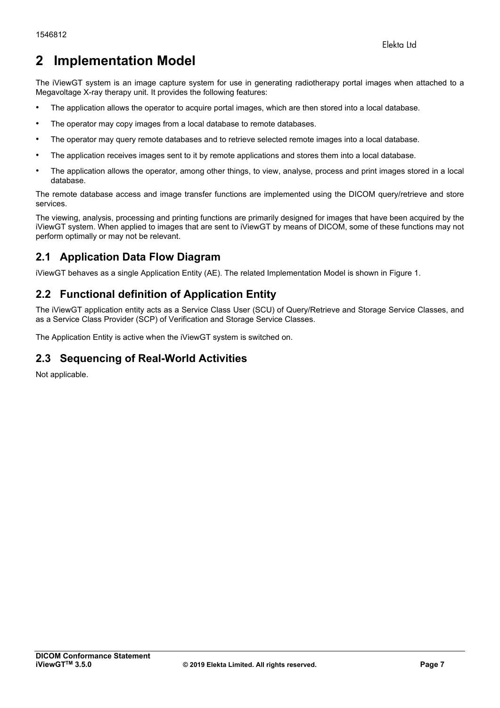### **2 Implementation Model**

The iViewGT system is an image capture system for use in generating radiotherapy portal images when attached to a Megavoltage X-ray therapy unit. It provides the following features:

- The application allows the operator to acquire portal images, which are then stored into a local database.
- The operator may copy images from a local database to remote databases.
- The operator may query remote databases and to retrieve selected remote images into a local database.
- The application receives images sent to it by remote applications and stores them into a local database.
- The application allows the operator, among other things, to view, analyse, process and print images stored in a local database.

The remote database access and image transfer functions are implemented using the DICOM query/retrieve and store services.

The viewing, analysis, processing and printing functions are primarily designed for images that have been acquired by the iViewGT system. When applied to images that are sent to iViewGT by means of DICOM, some of these functions may not perform optimally or may not be relevant.

### **2.1 Application Data Flow Diagram**

iViewGT behaves as a single Application Entity (AE). The related Implementation Model is shown in Figure 1.

### **2.2 Functional definition of Application Entity**

The iViewGT application entity acts as a Service Class User (SCU) of Query/Retrieve and Storage Service Classes, and as a Service Class Provider (SCP) of Verification and Storage Service Classes.

The Application Entity is active when the iViewGT system is switched on.

#### **2.3 Sequencing of Real-World Activities**

Not applicable.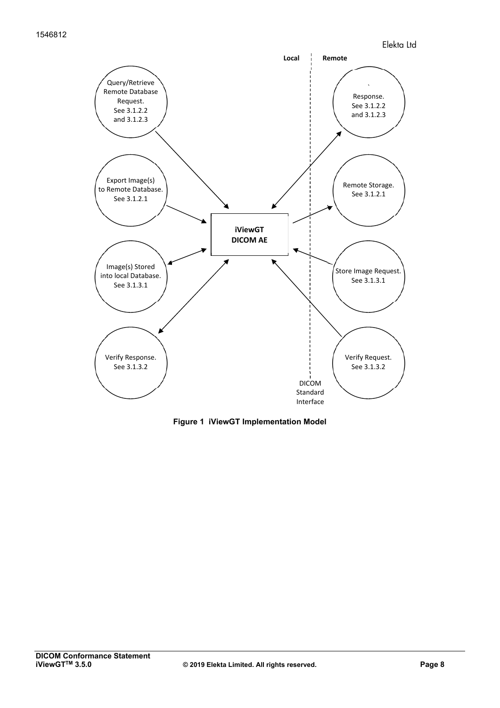```
 Elekta Ltd
```


**Figure 1 iViewGT Implementation Model**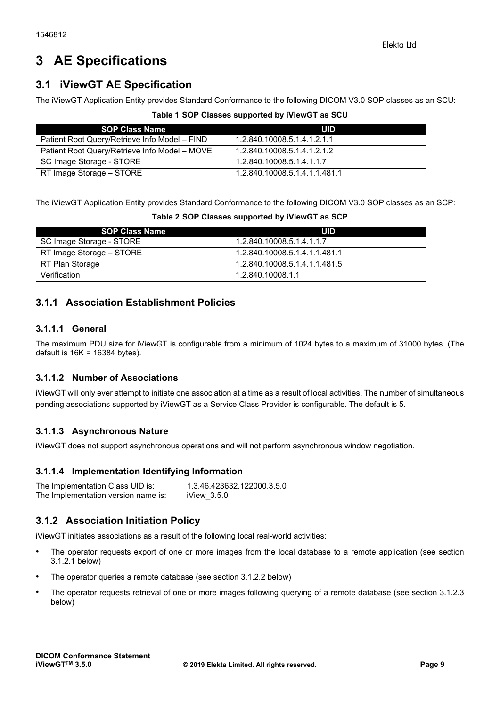### **3 AE Specifications**

### **3.1 iViewGT AE Specification**

The iViewGT Application Entity provides Standard Conformance to the following DICOM V3.0 SOP classes as an SCU:

| Table 1 SOP Classes supported by iViewGT as SCU |  |  |  |  |  |
|-------------------------------------------------|--|--|--|--|--|
|-------------------------------------------------|--|--|--|--|--|

| <b>SOP Class Name</b>                         | UID                           |
|-----------------------------------------------|-------------------------------|
| Patient Root Query/Retrieve Info Model - FIND | 1.2.840.10008.5.1.4.1.2.1.1   |
| Patient Root Query/Retrieve Info Model - MOVE | 1.2.840.10008.5.1.4.1.2.1.2   |
| SC Image Storage - STORE                      | 1.2.840.10008.5.1.4.1.1.7     |
| RT Image Storage - STORE                      | 1.2.840.10008.5.1.4.1.1.481.1 |

The iViewGT Application Entity provides Standard Conformance to the following DICOM V3.0 SOP classes as an SCP:

| Table 2 SOP Classes supported by iViewGT as SCP |  |  |
|-------------------------------------------------|--|--|
|                                                 |  |  |

| <b>SOP Class Name</b>    | UID                           |
|--------------------------|-------------------------------|
| SC Image Storage - STORE | 1.2.840.10008.5.1.4.1.1.7     |
| RT Image Storage – STORE | 1.2.840.10008.5.1.4.1.1.481.1 |
| RT Plan Storage          | 1.2.840.10008.5.1.4.1.1.481.5 |
| Verification             | 1.2.840.10008.1.1             |

### **3.1.1 Association Establishment Policies**

#### **3.1.1.1 General**

The maximum PDU size for iViewGT is configurable from a minimum of 1024 bytes to a maximum of 31000 bytes. (The default is  $16K = 16384$  bytes).

#### **3.1.1.2 Number of Associations**

iViewGT will only ever attempt to initiate one association at a time as a result of local activities. The number of simultaneous pending associations supported by iViewGT as a Service Class Provider is configurable. The default is 5.

#### **3.1.1.3 Asynchronous Nature**

iViewGT does not support asynchronous operations and will not perform asynchronous window negotiation.

#### **3.1.1.4 Implementation Identifying Information**

| The Implementation Class UID is:    | 1.3.46.423632.122000.3.5.0 |
|-------------------------------------|----------------------------|
| The Implementation version name is: | iView $3.5.0$              |

### **3.1.2 Association Initiation Policy**

iViewGT initiates associations as a result of the following local real-world activities:

- The operator requests export of one or more images from the local database to a remote application (see section 3.1.2.1 below)
- The operator queries a remote database (see section 3.1.2.2 below)
- The operator requests retrieval of one or more images following querying of a remote database (see section 3.1.2.3 below)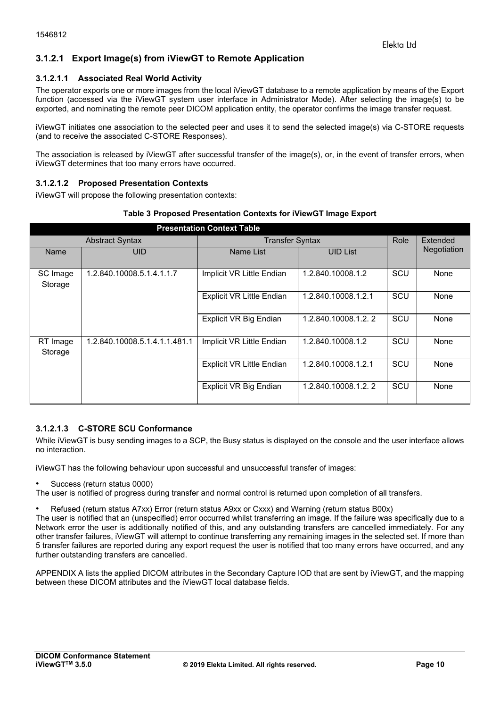#### **3.1.2.1 Export Image(s) from iViewGT to Remote Application**

#### **3.1.2.1.1 Associated Real World Activity**

The operator exports one or more images from the local iViewGT database to a remote application by means of the Export function (accessed via the iViewGT system user interface in Administrator Mode). After selecting the image(s) to be exported, and nominating the remote peer DICOM application entity, the operator confirms the image transfer request.

iViewGT initiates one association to the selected peer and uses it to send the selected image(s) via C-STORE requests (and to receive the associated C-STORE Responses).

The association is released by iViewGT after successful transfer of the image(s), or, in the event of transfer errors, when iViewGT determines that too many errors have occurred.

#### **3.1.2.1.2 Proposed Presentation Contexts**

iViewGT will propose the following presentation contexts:

#### **Table 3 Proposed Presentation Contexts for iViewGT Image Export**

| <b>Presentation Context Table</b> |                               |                                  |                     |      |             |
|-----------------------------------|-------------------------------|----------------------------------|---------------------|------|-------------|
|                                   | <b>Abstract Syntax</b>        | <b>Transfer Syntax</b>           |                     | Role | Extended    |
| <b>Name</b>                       | <b>UID</b>                    | Name List                        | <b>UID List</b>     |      | Negotiation |
| SC Image<br>Storage               | 1.2.840.10008.5.1.4.1.1.7     | Implicit VR Little Endian        | 1.2.840.10008.1.2   | SCU  | None        |
|                                   |                               | <b>Explicit VR Little Endian</b> | 1.2.840.10008.1.2.1 | SCU  | None        |
|                                   |                               | <b>Explicit VR Big Endian</b>    | 1.2.840.10008.1.2.2 | SCU  | None        |
| RT Image<br>Storage               | 1.2.840.10008.5.1.4.1.1.481.1 | Implicit VR Little Endian        | 1.2.840.10008.1.2   | SCU  | None        |
|                                   |                               | <b>Explicit VR Little Endian</b> | 1.2.840.10008.1.2.1 | SCU  | None        |
|                                   |                               | Explicit VR Big Endian           | 1.2.840.10008.1.2.2 | SCU  | None        |

#### **3.1.2.1.3 C-STORE SCU Conformance**

While iViewGT is busy sending images to a SCP, the Busy status is displayed on the console and the user interface allows no interaction.

iViewGT has the following behaviour upon successful and unsuccessful transfer of images:

• Success (return status 0000)

The user is notified of progress during transfer and normal control is returned upon completion of all transfers.

• Refused (return status A7xx) Error (return status A9xx or Cxxx) and Warning (return status B00x)

The user is notified that an (unspecified) error occurred whilst transferring an image. If the failure was specifically due to a Network error the user is additionally notified of this, and any outstanding transfers are cancelled immediately. For any other transfer failures, iViewGT will attempt to continue transferring any remaining images in the selected set. If more than 5 transfer failures are reported during any export request the user is notified that too many errors have occurred, and any further outstanding transfers are cancelled.

APPENDIX A lists the applied DICOM attributes in the Secondary Capture IOD that are sent by iViewGT, and the mapping between these DICOM attributes and the iViewGT local database fields.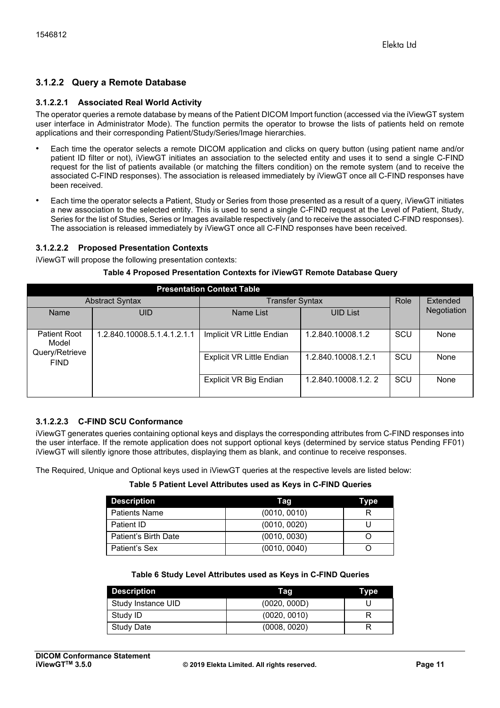#### **3.1.2.2 Query a Remote Database**

#### **3.1.2.2.1 Associated Real World Activity**

The operator queries a remote database by means of the Patient DICOM Import function (accessed via the iViewGT system user interface in Administrator Mode). The function permits the operator to browse the lists of patients held on remote applications and their corresponding Patient/Study/Series/Image hierarchies.

- Each time the operator selects a remote DICOM application and clicks on query button (using patient name and/or patient ID filter or not), iViewGT initiates an association to the selected entity and uses it to send a single C-FIND request for the list of patients available (or matching the filters condition) on the remote system (and to receive the associated C-FIND responses). The association is released immediately by iViewGT once all C-FIND responses have been received.
- Each time the operator selects a Patient, Study or Series from those presented as a result of a query, iViewGT initiates a new association to the selected entity. This is used to send a single C-FIND request at the Level of Patient, Study, Series for the list of Studies, Series or Images available respectively (and to receive the associated C-FIND responses). The association is released immediately by iViewGT once all C-FIND responses have been received.

#### **3.1.2.2.2 Proposed Presentation Contexts**

iViewGT will propose the following presentation contexts:

| Table 4 Proposed Presentation Contexts for iViewGT Remote Database Query |
|--------------------------------------------------------------------------|
|                                                                          |

| <b>Presentation Context Table</b> |                             |                                  |                     |      |             |
|-----------------------------------|-----------------------------|----------------------------------|---------------------|------|-------------|
|                                   | <b>Abstract Syntax</b>      | <b>Transfer Syntax</b>           |                     | Role | Extended    |
| Name                              | UID                         | Name List                        | <b>UID List</b>     |      | Negotiation |
| <b>Patient Root</b><br>Model      | 1.2.840.10008.5.1.4.1.2.1.1 | Implicit VR Little Endian        | 1.2.840.10008.1.2   | SCU  | None        |
| Query/Retrieve<br><b>FIND</b>     |                             | <b>Explicit VR Little Endian</b> | 1.2.840.10008.1.2.1 | SCU  | None        |
|                                   |                             | <b>Explicit VR Big Endian</b>    | 1.2.840.10008.1.2.2 | SCU  | None        |

#### **3.1.2.2.3 C-FIND SCU Conformance**

iViewGT generates queries containing optional keys and displays the corresponding attributes from C-FIND responses into the user interface. If the remote application does not support optional keys (determined by service status Pending FF01) iViewGT will silently ignore those attributes, displaying them as blank, and continue to receive responses.

The Required, Unique and Optional keys used in iViewGT queries at the respective levels are listed below:

#### **Table 5 Patient Level Attributes used as Keys in C-FIND Queries**

| <b>Description</b>   | Taq          | Type |
|----------------------|--------------|------|
| <b>Patients Name</b> | (0010, 0010) |      |
| Patient ID           | (0010, 0020) |      |
| Patient's Birth Date | (0010, 0030) |      |
| Patient's Sex        | (0010, 0040) |      |

#### **Table 6 Study Level Attributes used as Keys in C-FIND Queries**

| <b>Description</b> | Taq          | Type |
|--------------------|--------------|------|
| Study Instance UID | (0020, 000D) |      |
| Study ID           | (0020, 0010) |      |
| Study Date         | (0008, 0020) |      |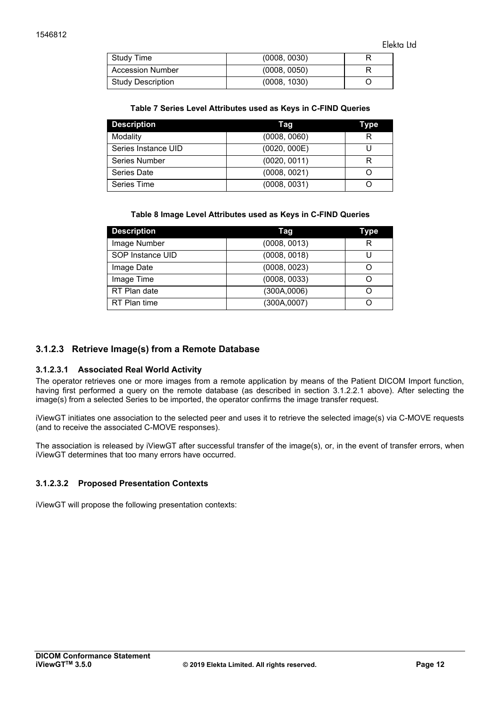| Study Time               | (0008, 0030) |  |
|--------------------------|--------------|--|
| <b>Accession Number</b>  | (0008, 0050) |  |
| <b>Study Description</b> | (0008, 1030) |  |

#### **Table 7 Series Level Attributes used as Keys in C-FIND Queries**

| <b>Description</b>  | Taq          | Type |
|---------------------|--------------|------|
| Modality            | (0008, 0060) | к    |
| Series Instance UID | (0020, 000E) |      |
| Series Number       | (0020, 0011) |      |
| Series Date         | (0008, 0021) |      |
| Series Time         | (0008, 0031) |      |

#### **Table 8 Image Level Attributes used as Keys in C-FIND Queries**

| <b>Description</b> | Tag          | Type |
|--------------------|--------------|------|
| Image Number       | (0008, 0013) | R    |
| SOP Instance UID   | (0008, 0018) |      |
| Image Date         | (0008, 0023) |      |
| Image Time         | (0008, 0033) |      |
| RT Plan date       | (300A,0006)  |      |
| RT Plan time       | (300A,0007)  |      |

#### **3.1.2.3 Retrieve Image(s) from a Remote Database**

#### **3.1.2.3.1 Associated Real World Activity**

The operator retrieves one or more images from a remote application by means of the Patient DICOM Import function, having first performed a query on the remote database (as described in section 3.1.2.2.1 above). After selecting the image(s) from a selected Series to be imported, the operator confirms the image transfer request.

iViewGT initiates one association to the selected peer and uses it to retrieve the selected image(s) via C-MOVE requests (and to receive the associated C-MOVE responses).

The association is released by iViewGT after successful transfer of the image(s), or, in the event of transfer errors, when iViewGT determines that too many errors have occurred.

#### **3.1.2.3.2 Proposed Presentation Contexts**

iViewGT will propose the following presentation contexts: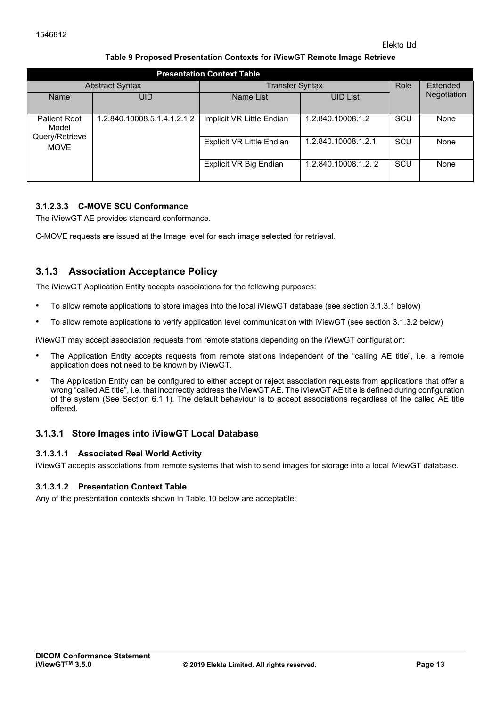#### **Table 9 Proposed Presentation Contexts for iViewGT Remote Image Retrieve**

|                               | <b>Presentation Context Table</b> |                                  |                     |            |             |  |  |
|-------------------------------|-----------------------------------|----------------------------------|---------------------|------------|-------------|--|--|
|                               | <b>Abstract Syntax</b>            | <b>Transfer Syntax</b>           |                     | Role       | Extended    |  |  |
| Name                          | UID                               | Name List                        | <b>UID List</b>     |            | Negotiation |  |  |
| <b>Patient Root</b><br>Model  | 1.2.840.10008.5.1.4.1.2.1.2       | Implicit VR Little Endian        | 1.2.840.10008.1.2   | SCU        | None        |  |  |
| Query/Retrieve<br><b>MOVE</b> |                                   | <b>Explicit VR Little Endian</b> | 1.2.840.10008.1.2.1 | SCU        | None        |  |  |
|                               |                                   | Explicit VR Big Endian           | 1.2.840.10008.1.2.2 | <b>SCU</b> | None        |  |  |

#### **3.1.2.3.3 C-MOVE SCU Conformance**

The iViewGT AE provides standard conformance.

C-MOVE requests are issued at the Image level for each image selected for retrieval.

#### **3.1.3 Association Acceptance Policy**

The iViewGT Application Entity accepts associations for the following purposes:

- To allow remote applications to store images into the local iViewGT database (see section 3.1.3.1 below)
- To allow remote applications to verify application level communication with iViewGT (see section 3.1.3.2 below)

iViewGT may accept association requests from remote stations depending on the iViewGT configuration:

- The Application Entity accepts requests from remote stations independent of the "calling AE title", i.e. a remote application does not need to be known by iViewGT.
- The Application Entity can be configured to either accept or reject association requests from applications that offer a wrong "called AE title", i.e. that incorrectly address the iViewGT AE. The iViewGT AE title is defined during configuration of the system (See Section 6.1.1). The default behaviour is to accept associations regardless of the called AE title offered.

#### **3.1.3.1 Store Images into iViewGT Local Database**

#### **3.1.3.1.1 Associated Real World Activity**

iViewGT accepts associations from remote systems that wish to send images for storage into a local iViewGT database.

#### **3.1.3.1.2 Presentation Context Table**

Any of the presentation contexts shown in Table 10 below are acceptable: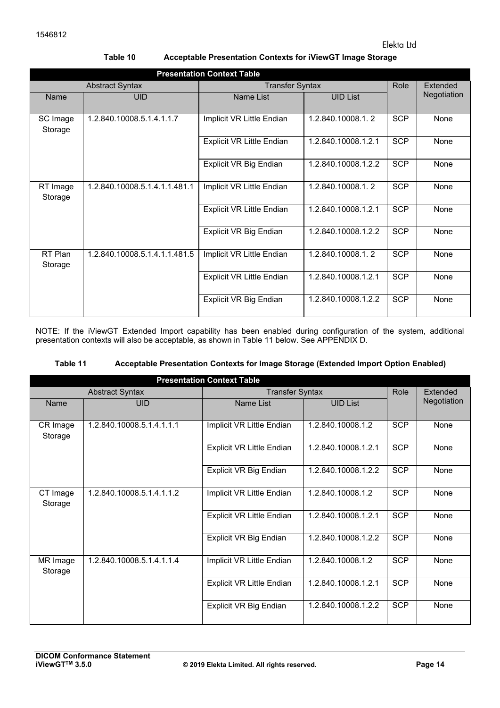| <b>Presentation Context Table</b> |                               |                                  |                     |            |                 |
|-----------------------------------|-------------------------------|----------------------------------|---------------------|------------|-----------------|
|                                   | <b>Abstract Syntax</b>        | <b>Transfer Syntax</b>           |                     | Role       | <b>Extended</b> |
| <b>Name</b>                       | <b>UID</b>                    | Name List                        | <b>UID List</b>     |            | Negotiation     |
| SC Image<br>Storage               | 1.2.840.10008.5.1.4.1.1.7     | Implicit VR Little Endian        | 1.2.840.10008.1.2   | <b>SCP</b> | None            |
|                                   |                               | <b>Explicit VR Little Endian</b> | 1.2.840.10008.1.2.1 | <b>SCP</b> | None            |
|                                   |                               | Explicit VR Big Endian           | 1.2.840.10008.1.2.2 | <b>SCP</b> | None            |
| RT Image<br>Storage               | 1.2.840.10008.5.1.4.1.1.481.1 | Implicit VR Little Endian        | 1.2.840.10008.1.2   | <b>SCP</b> | None            |
|                                   |                               | <b>Explicit VR Little Endian</b> | 1.2.840.10008.1.2.1 | <b>SCP</b> | None            |
|                                   |                               | <b>Explicit VR Big Endian</b>    | 1.2.840.10008.1.2.2 | <b>SCP</b> | None            |
| RT Plan<br>Storage                | 1.2.840.10008.5.1.4.1.1.481.5 | Implicit VR Little Endian        | 1.2.840.10008.1.2   | <b>SCP</b> | None            |
|                                   |                               | <b>Explicit VR Little Endian</b> | 1.2.840.10008.1.2.1 | <b>SCP</b> | None            |
|                                   |                               | Explicit VR Big Endian           | 1.2.840.10008.1.2.2 | <b>SCP</b> | None            |

NOTE: If the iViewGT Extended Import capability has been enabled during configuration of the system, additional presentation contexts will also be acceptable, as shown in Table 11 below. See APPENDIX D.

| Table 11 | Acceptable Presentation Contexts for Image Storage (Extended Import Option Enabled) |  |  |
|----------|-------------------------------------------------------------------------------------|--|--|
|          |                                                                                     |  |  |

|                     | <b>Presentation Context Table</b> |                                  |                     |            |             |  |
|---------------------|-----------------------------------|----------------------------------|---------------------|------------|-------------|--|
|                     | <b>Abstract Syntax</b>            | <b>Transfer Syntax</b>           |                     | Role       | Extended    |  |
| Name                | <b>UID</b>                        | Name List                        | <b>UID List</b>     |            | Negotiation |  |
| CR Image<br>Storage | 1.2.840.10008.5.1.4.1.1.1         | Implicit VR Little Endian        | 1.2.840.10008.1.2   | <b>SCP</b> | None        |  |
|                     |                                   | <b>Explicit VR Little Endian</b> | 1.2.840.10008.1.2.1 | <b>SCP</b> | None        |  |
|                     |                                   | Explicit VR Big Endian           | 1.2.840.10008.1.2.2 | <b>SCP</b> | None        |  |
| CT Image<br>Storage | 1.2.840.10008.5.1.4.1.1.2         | Implicit VR Little Endian        | 1.2.840.10008.1.2   | <b>SCP</b> | None        |  |
|                     |                                   | <b>Explicit VR Little Endian</b> | 1.2.840.10008.1.2.1 | <b>SCP</b> | None        |  |
|                     |                                   | Explicit VR Big Endian           | 1.2.840.10008.1.2.2 | <b>SCP</b> | None        |  |
| MR Image<br>Storage | 1.2.840.10008.5.1.4.1.1.4         | Implicit VR Little Endian        | 1.2.840.10008.1.2   | <b>SCP</b> | None        |  |
|                     |                                   | <b>Explicit VR Little Endian</b> | 1.2.840.10008.1.2.1 | <b>SCP</b> | None        |  |
|                     |                                   | Explicit VR Big Endian           | 1.2.840.10008.1.2.2 | <b>SCP</b> | None        |  |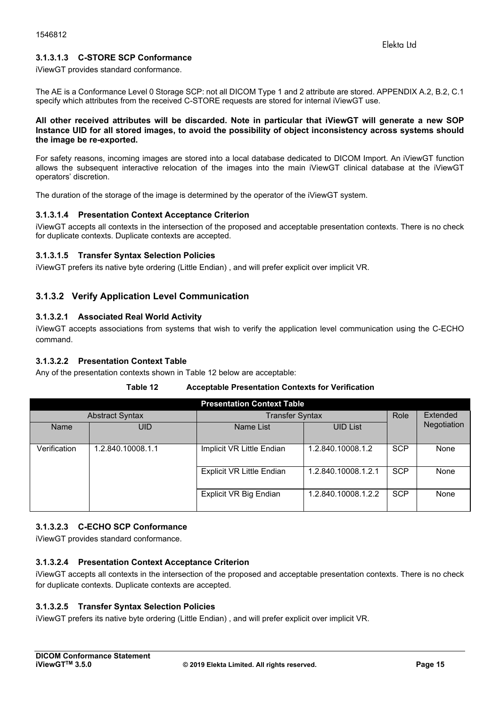#### **3.1.3.1.3 C-STORE SCP Conformance**

iViewGT provides standard conformance.

The AE is a Conformance Level 0 Storage SCP: not all DICOM Type 1 and 2 attribute are stored. APPENDIX A.2, B.2, C.1 specify which attributes from the received C-STORE requests are stored for internal iViewGT use.

#### **All other received attributes will be discarded. Note in particular that iViewGT will generate a new SOP Instance UID for all stored images, to avoid the possibility of object inconsistency across systems should the image be re-exported.**

For safety reasons, incoming images are stored into a local database dedicated to DICOM Import. An iViewGT function allows the subsequent interactive relocation of the images into the main iViewGT clinical database at the iViewGT operators' discretion.

The duration of the storage of the image is determined by the operator of the iViewGT system.

#### **3.1.3.1.4 Presentation Context Acceptance Criterion**

iViewGT accepts all contexts in the intersection of the proposed and acceptable presentation contexts. There is no check for duplicate contexts. Duplicate contexts are accepted.

#### **3.1.3.1.5 Transfer Syntax Selection Policies**

iViewGT prefers its native byte ordering (Little Endian) , and will prefer explicit over implicit VR.

#### **3.1.3.2 Verify Application Level Communication**

#### **3.1.3.2.1 Associated Real World Activity**

iViewGT accepts associations from systems that wish to verify the application level communication using the C-ECHO command.

#### **3.1.3.2.2 Presentation Context Table**

Any of the presentation contexts shown in Table 12 below are acceptable:

#### **Table 12 Acceptable Presentation Contexts for Verification**

|              | <b>Presentation Context Table</b> |                                  |                     |            |             |  |
|--------------|-----------------------------------|----------------------------------|---------------------|------------|-------------|--|
|              | <b>Abstract Syntax</b>            | <b>Transfer Syntax</b>           |                     | Role       | Extended    |  |
| Name         | <b>UID</b>                        | Name List                        | <b>UID List</b>     |            | Negotiation |  |
| Verification | 1.2.840.10008.1.1                 | Implicit VR Little Endian        | 1.2.840.10008.1.2   | <b>SCP</b> | None        |  |
|              |                                   | <b>Explicit VR Little Endian</b> | 1.2.840.10008.1.2.1 | <b>SCP</b> | None        |  |
|              |                                   | Explicit VR Big Endian           | 1.2.840.10008.1.2.2 | <b>SCP</b> | None        |  |

#### **3.1.3.2.3 C-ECHO SCP Conformance**

iViewGT provides standard conformance.

#### **3.1.3.2.4 Presentation Context Acceptance Criterion**

iViewGT accepts all contexts in the intersection of the proposed and acceptable presentation contexts. There is no check for duplicate contexts. Duplicate contexts are accepted.

#### **3.1.3.2.5 Transfer Syntax Selection Policies**

iViewGT prefers its native byte ordering (Little Endian) , and will prefer explicit over implicit VR.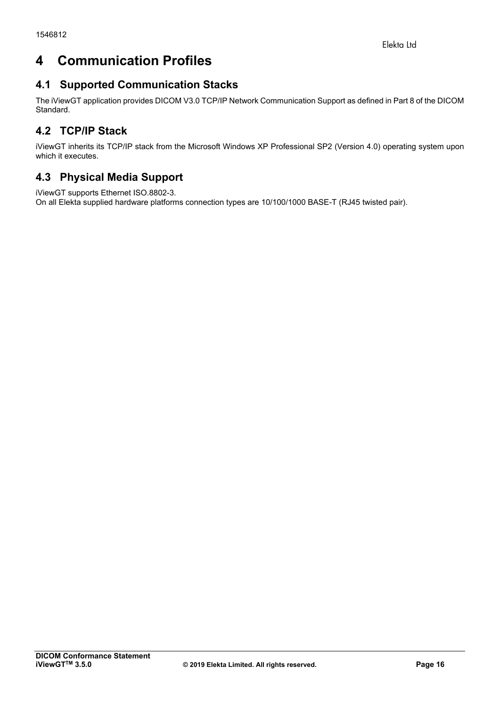### **4 Communication Profiles**

#### **4.1 Supported Communication Stacks**

The iViewGT application provides DICOM V3.0 TCP/IP Network Communication Support as defined in Part 8 of the DICOM Standard.

### **4.2 TCP/IP Stack**

iViewGT inherits its TCP/IP stack from the Microsoft Windows XP Professional SP2 (Version 4.0) operating system upon which it executes.

#### **4.3 Physical Media Support**

iViewGT supports Ethernet ISO.8802-3.

On all Elekta supplied hardware platforms connection types are 10/100/1000 BASE-T (RJ45 twisted pair).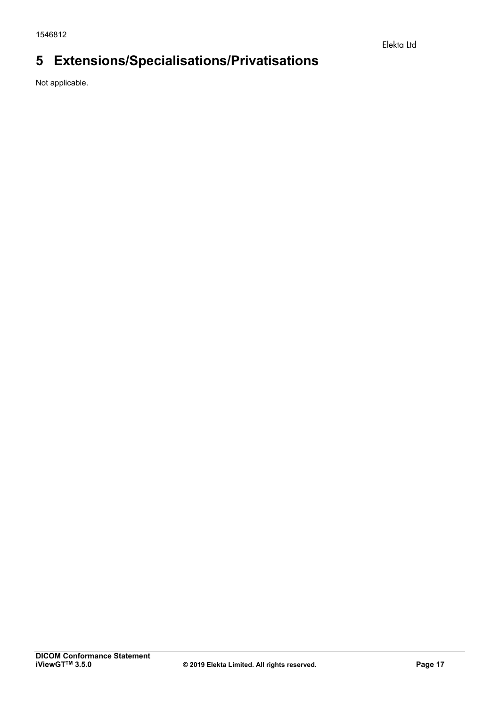### **5 Extensions/Specialisations/Privatisations**

Not applicable.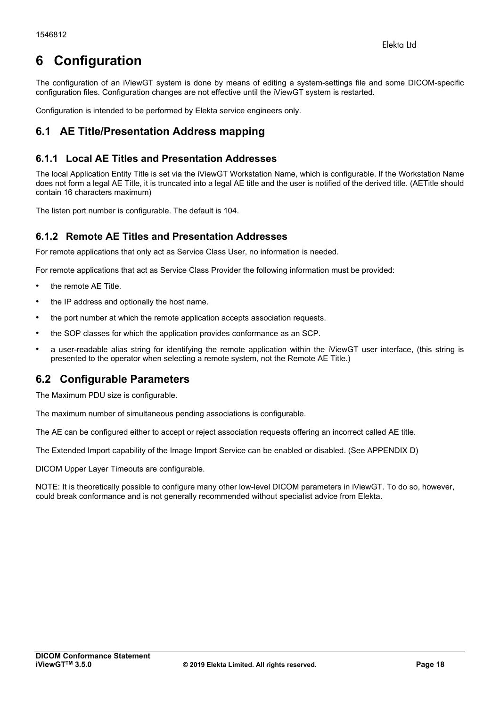### **6 Configuration**

The configuration of an iViewGT system is done by means of editing a system-settings file and some DICOM-specific configuration files. Configuration changes are not effective until the iViewGT system is restarted.

Configuration is intended to be performed by Elekta service engineers only.

#### **6.1 AE Title/Presentation Address mapping**

#### **6.1.1 Local AE Titles and Presentation Addresses**

The local Application Entity Title is set via the iViewGT Workstation Name, which is configurable. If the Workstation Name does not form a legal AE Title, it is truncated into a legal AE title and the user is notified of the derived title. (AETitle should contain 16 characters maximum)

The listen port number is configurable. The default is 104.

#### **6.1.2 Remote AE Titles and Presentation Addresses**

For remote applications that only act as Service Class User, no information is needed.

For remote applications that act as Service Class Provider the following information must be provided:

- the remote AE Title.
- the IP address and optionally the host name.
- the port number at which the remote application accepts association requests.
- the SOP classes for which the application provides conformance as an SCP.
- a user-readable alias string for identifying the remote application within the iViewGT user interface, (this string is presented to the operator when selecting a remote system, not the Remote AE Title.)

#### **6.2 Configurable Parameters**

The Maximum PDU size is configurable.

The maximum number of simultaneous pending associations is configurable.

The AE can be configured either to accept or reject association requests offering an incorrect called AE title.

The Extended Import capability of the Image Import Service can be enabled or disabled. (See APPENDIX D)

DICOM Upper Layer Timeouts are configurable.

NOTE: It is theoretically possible to configure many other low-level DICOM parameters in iViewGT. To do so, however, could break conformance and is not generally recommended without specialist advice from Elekta.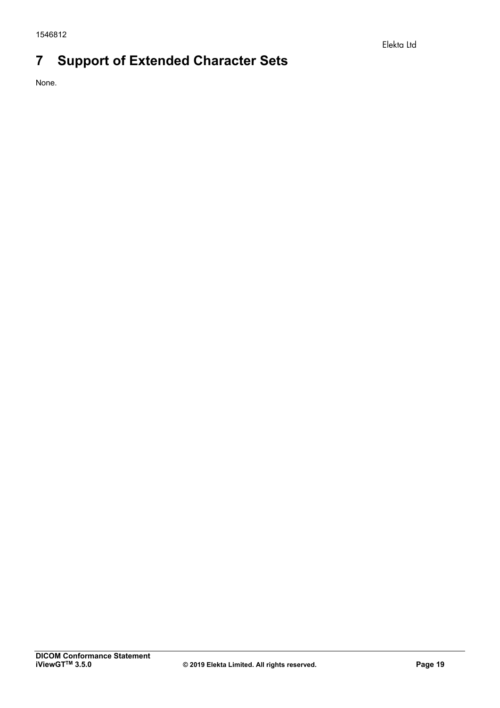### **7 Support of Extended Character Sets**

None.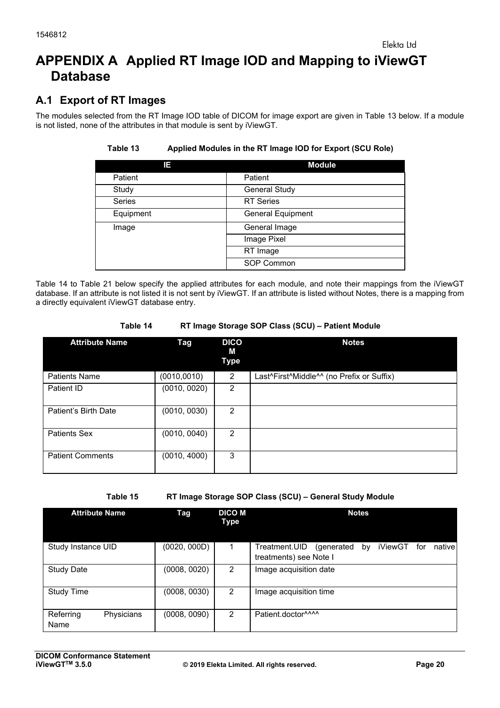### **APPENDIX A Applied RT Image IOD and Mapping to iViewGT Database**

### **A.1 Export of RT Images**

The modules selected from the RT Image IOD table of DICOM for image export are given in Table 13 below. If a module is not listed, none of the attributes in that module is sent by iViewGT.

| IΕ            | <b>Module</b>            |
|---------------|--------------------------|
| Patient       | Patient                  |
| Study         | <b>General Study</b>     |
| <b>Series</b> | <b>RT</b> Series         |
| Equipment     | <b>General Equipment</b> |
| Image         | General Image            |
|               | Image Pixel              |
|               | RT Image                 |
|               | SOP Common               |

#### **Table 13 Applied Modules in the RT Image IOD for Export (SCU Role)**

Table 14 to Table 21 below specify the applied attributes for each module, and note their mappings from the iViewGT database. If an attribute is not listed it is not sent by iViewGT. If an attribute is listed without Notes, there is a mapping from a directly equivalent iViewGT database entry.

#### **Table 14 RT Image Storage SOP Class (SCU) – Patient Module**

| <b>Attribute Name</b>   | Tag          | <b>DICO</b><br>М<br>Type | <b>Notes</b>                              |
|-------------------------|--------------|--------------------------|-------------------------------------------|
| <b>Patients Name</b>    | (0010, 0010) | 2                        | Last^First^Middle^^ (no Prefix or Suffix) |
| Patient ID              | (0010, 0020) | 2                        |                                           |
| Patient's Birth Date    | (0010, 0030) | 2                        |                                           |
| <b>Patients Sex</b>     | (0010, 0040) | 2                        |                                           |
| <b>Patient Comments</b> | (0010, 4000) | 3                        |                                           |

**Table 15 RT Image Storage SOP Class (SCU) – General Study Module** 

| <b>Attribute Name</b>           | Tag          | <b>DICO M</b><br>Type | <b>Notes</b>                                                                          |
|---------------------------------|--------------|-----------------------|---------------------------------------------------------------------------------------|
| Study Instance UID              | (0020, 000D) | 1                     | iViewGT for<br>Treatment.UID<br>nativel<br>(generated<br>by<br>treatments) see Note I |
| <b>Study Date</b>               | (0008, 0020) | 2                     | Image acquisition date                                                                |
| <b>Study Time</b>               | (0008, 0030) | $\overline{2}$        | Image acquisition time                                                                |
| Referring<br>Physicians<br>Name | (0008, 0090) | $\overline{2}$        | Patient.doctor <sup>^^^^</sup>                                                        |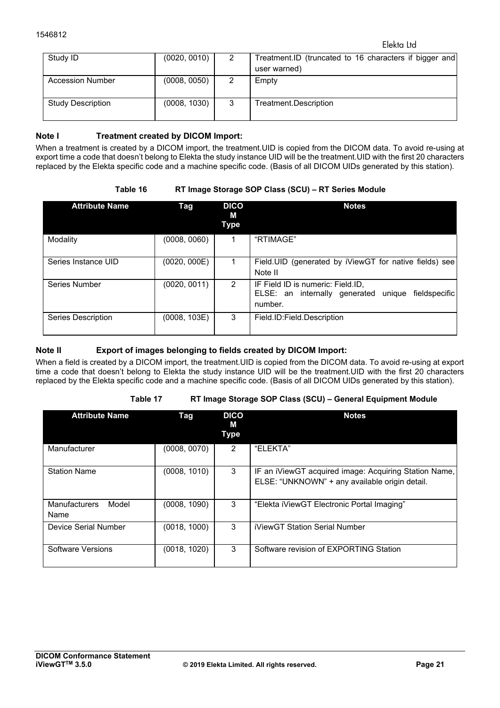| Study ID                 | (0020, 0010) | 2 | Treatment.ID (truncated to 16 characters if bigger and<br>user warned) |
|--------------------------|--------------|---|------------------------------------------------------------------------|
| <b>Accession Number</b>  | (0008, 0050) | 2 | Empty                                                                  |
| <b>Study Description</b> | (0008, 1030) | 3 | Treatment.Description                                                  |

#### **Note I Treatment created by DICOM Import:**

When a treatment is created by a DICOM import, the treatment.UID is copied from the DICOM data. To avoid re-using at export time a code that doesn't belong to Elekta the study instance UID will be the treatment.UID with the first 20 characters replaced by the Elekta specific code and a machine specific code. (Basis of all DICOM UIDs generated by this station).

#### **Table 16 RT Image Storage SOP Class (SCU) – RT Series Module**

| <b>Attribute Name</b>     | Tag          | <b>DICO</b><br>М<br>Type | <b>Notes</b>                                                                                             |
|---------------------------|--------------|--------------------------|----------------------------------------------------------------------------------------------------------|
| Modality                  | (0008, 0060) | 1                        | "RTIMAGE"                                                                                                |
| Series Instance UID       | (0020, 000E) |                          | Field.UID (generated by iViewGT for native fields) see<br>Note II                                        |
| Series Number             | (0020, 0011) | 2                        | IF Field ID is numeric: Field.ID,<br>unique<br>fieldspecific<br>ELSE: an internally generated<br>number. |
| <b>Series Description</b> | (0008, 103E) | 3                        | Field.ID:Field.Description                                                                               |

#### **Note II Export of images belonging to fields created by DICOM Import:**

When a field is created by a DICOM import, the treatment.UID is copied from the DICOM data. To avoid re-using at export time a code that doesn't belong to Elekta the study instance UID will be the treatment.UID with the first 20 characters replaced by the Elekta specific code and a machine specific code. (Basis of all DICOM UIDs generated by this station).

#### **Table 17 RT Image Storage SOP Class (SCU) – General Equipment Module**

| <b>Attribute Name</b>                 | Tag          | <b>DICO</b><br>М<br><b>Type</b> | <b>Notes</b>                                                                                            |
|---------------------------------------|--------------|---------------------------------|---------------------------------------------------------------------------------------------------------|
| Manufacturer                          | (0008, 0070) | 2                               | "ELEKTA"                                                                                                |
| <b>Station Name</b>                   | (0008, 1010) | 3                               | IF an iViewGT acquired image: Acquiring Station Name,<br>ELSE: "UNKNOWN" + any available origin detail. |
| <b>Manufacturers</b><br>Model<br>Name | (0008, 1090) | 3                               | "Elekta iViewGT Electronic Portal Imaging"                                                              |
| Device Serial Number                  | (0018, 1000) | 3                               | <b>iViewGT Station Serial Number</b>                                                                    |
| Software Versions                     | (0018, 1020) | 3                               | Software revision of EXPORTING Station                                                                  |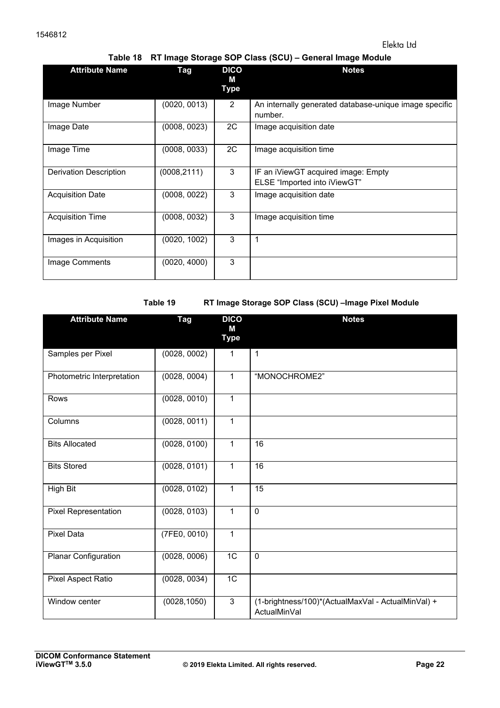#### **Table 18 RT Image Storage SOP Class (SCU) – General Image Module**

| <b>Attribute Name</b>         | Tag          | <b>DICO</b><br>м<br><b>Type</b> | <b>Notes</b>                                                        |
|-------------------------------|--------------|---------------------------------|---------------------------------------------------------------------|
| Image Number                  | (0020, 0013) | $\overline{2}$                  | An internally generated database-unique image specific<br>number.   |
| Image Date                    | (0008, 0023) | 2C                              | Image acquisition date                                              |
| Image Time                    | (0008, 0033) | 2C                              | Image acquisition time                                              |
| <b>Derivation Description</b> | (0008, 2111) | 3                               | IF an iViewGT acquired image: Empty<br>ELSE "Imported into iViewGT" |
| <b>Acquisition Date</b>       | (0008, 0022) | 3                               | Image acquisition date                                              |
| <b>Acquisition Time</b>       | (0008, 0032) | 3                               | Image acquisition time                                              |
| Images in Acquisition         | (0020, 1002) | 3                               | $\mathbf{1}$                                                        |
| Image Comments                | (0020, 4000) | 3                               |                                                                     |

**Table 19 RT Image Storage SOP Class (SCU) –Image Pixel Module** 

| <b>Attribute Name</b>       | <b>Tag</b>   | <b>DICO</b><br>M<br><b>Type</b> | <b>Notes</b>                                                       |
|-----------------------------|--------------|---------------------------------|--------------------------------------------------------------------|
| Samples per Pixel           | (0028, 0002) | 1                               | $\overline{1}$                                                     |
| Photometric Interpretation  | (0028, 0004) | $\mathbf{1}$                    | "MONOCHROME2"                                                      |
| Rows                        | (0028, 0010) | $\mathbf{1}$                    |                                                                    |
| Columns                     | (0028, 0011) | 1                               |                                                                    |
| <b>Bits Allocated</b>       | (0028, 0100) | $\mathbf{1}$                    | 16                                                                 |
| <b>Bits Stored</b>          | (0028, 0101) | $\mathbf{1}$                    | 16                                                                 |
| High Bit                    | (0028, 0102) | $\mathbf{1}$                    | 15                                                                 |
| <b>Pixel Representation</b> | (0028, 0103) | $\mathbf{1}$                    | $\mathbf 0$                                                        |
| <b>Pixel Data</b>           | (7FE0, 0010) | $\mathbf{1}$                    |                                                                    |
| <b>Planar Configuration</b> | (0028, 0006) | 1C                              | $\mathbf 0$                                                        |
| Pixel Aspect Ratio          | (0028, 0034) | $\overline{1C}$                 |                                                                    |
| Window center               | (0028, 1050) | 3                               | (1-brightness/100)*(ActualMaxVal - ActualMinVal) +<br>ActualMinVal |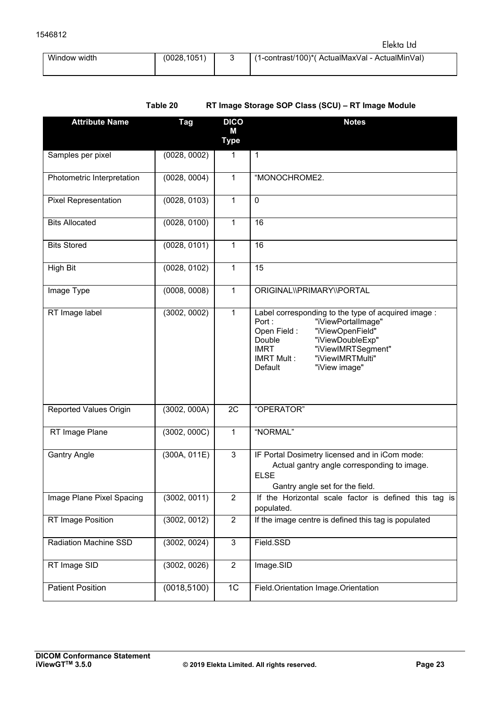| Window width | (0028.1051) | (1-contrast/100)*(ActualMaxVal - ActualMinVal) |
|--------------|-------------|------------------------------------------------|
|              |             |                                                |

| <b>Attribute Name</b>       | Tag          | <b>DICO</b><br>M<br>Type | <b>Notes</b>                                                                                                                                                                                                                                                  |
|-----------------------------|--------------|--------------------------|---------------------------------------------------------------------------------------------------------------------------------------------------------------------------------------------------------------------------------------------------------------|
| Samples per pixel           | (0028, 0002) | 1                        | $\mathbf{1}$                                                                                                                                                                                                                                                  |
| Photometric Interpretation  | (0028, 0004) | $\mathbf{1}$             | "MONOCHROME2.                                                                                                                                                                                                                                                 |
| <b>Pixel Representation</b> | (0028, 0103) | 1                        | $\mathbf 0$                                                                                                                                                                                                                                                   |
| <b>Bits Allocated</b>       | (0028, 0100) | 1                        | 16                                                                                                                                                                                                                                                            |
| <b>Bits Stored</b>          | (0028, 0101) | 1                        | 16                                                                                                                                                                                                                                                            |
| High Bit                    | (0028, 0102) | $\mathbf{1}$             | 15                                                                                                                                                                                                                                                            |
| Image Type                  | (0008, 0008) | 1                        | ORIGINAL\\PRIMARY\\PORTAL                                                                                                                                                                                                                                     |
| RT Image label              | (3002, 0002) | 1                        | Label corresponding to the type of acquired image :<br>Port:<br>"iViewPortalImage"<br>"iViewOpenField"<br>Open Field:<br>"iViewDoubleExp"<br>Double<br><b>IMRT</b><br>"iViewIMRTSegment"<br>"iViewIMRTMulti"<br><b>IMRT Mult:</b><br>Default<br>"iView image" |
| Reported Values Origin      | (3002, 000A) | 2C                       | "OPERATOR"                                                                                                                                                                                                                                                    |
| RT Image Plane              | (3002, 000C) | 1                        | "NORMAL"                                                                                                                                                                                                                                                      |
| <b>Gantry Angle</b>         | (300A, 011E) | $\sqrt{3}$               | IF Portal Dosimetry licensed and in iCom mode:<br>Actual gantry angle corresponding to image.<br><b>ELSE</b><br>Gantry angle set for the field.                                                                                                               |
| Image Plane Pixel Spacing   | (3002, 0011) | $\overline{2}$           | If the Horizontal scale factor is defined this tag is<br>populated.                                                                                                                                                                                           |
| RT Image Position           | (3002, 0012) | $\overline{2}$           | If the image centre is defined this tag is populated                                                                                                                                                                                                          |
| Radiation Machine SSD       | (3002, 0024) | $\mathbf{3}$             | Field.SSD                                                                                                                                                                                                                                                     |
| RT Image SID                | (3002, 0026) | $\sqrt{2}$               | Image.SID                                                                                                                                                                                                                                                     |
| <b>Patient Position</b>     | (0018, 5100) | 1C                       | Field.Orientation Image.Orientation                                                                                                                                                                                                                           |

| Table 20 |  | RT Image Storage SOP Class (SCU) - RT Image Module |  |  |
|----------|--|----------------------------------------------------|--|--|
|          |  |                                                    |  |  |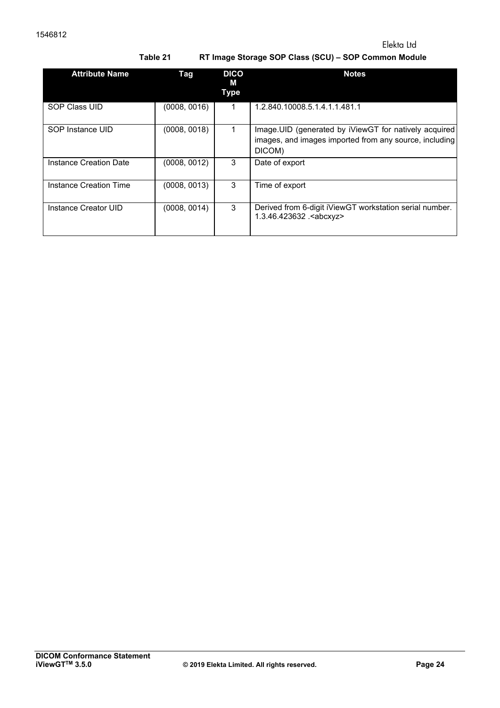#### Elekta Ltd

#### **Table 21 RT Image Storage SOP Class (SCU) – SOP Common Module**

| <b>Attribute Name</b>  | Tag          | <b>DICO</b><br>M<br><b>Type</b> | <b>Notes</b>                                                                                                               |
|------------------------|--------------|---------------------------------|----------------------------------------------------------------------------------------------------------------------------|
| SOP Class UID          | (0008, 0016) | 1                               | 1.2.840.10008.5.1.4.1.1.481.1                                                                                              |
| SOP Instance UID       | (0008, 0018) | 1                               | Image.UID (generated by iViewGT for natively acquired)<br>images, and images imported from any source, including<br>DICOM) |
| Instance Creation Date | (0008, 0012) | 3                               | Date of export                                                                                                             |
| Instance Creation Time | (0008, 0013) | 3                               | Time of export                                                                                                             |
| Instance Creator UID   | (0008, 0014) | 3                               | Derived from 6-digit iViewGT workstation serial number.<br>1.3.46.423632 . <abcxyz></abcxyz>                               |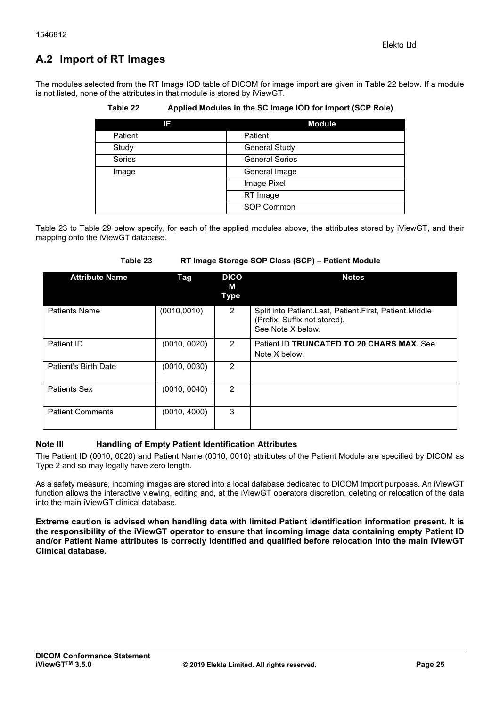### **A.2 Import of RT Images**

The modules selected from the RT Image IOD table of DICOM for image import are given in Table 22 below. If a module is not listed, none of the attributes in that module is stored by iViewGT.

**Table 22 Applied Modules in the SC Image IOD for Import (SCP Role)** 

| IΕ            | <b>Module</b>         |
|---------------|-----------------------|
| Patient       | Patient               |
| Study         | <b>General Study</b>  |
| <b>Series</b> | <b>General Series</b> |
| Image         | General Image         |
|               | Image Pixel           |
|               | RT Image              |
|               | SOP Common            |

Table 23 to Table 29 below specify, for each of the applied modules above, the attributes stored by iViewGT, and their mapping onto the iViewGT database.

| <b>Attribute Name</b>   | Tag          | <b>DICO</b><br>М<br><b>Type</b> | <b>Notes</b>                                                                                                |
|-------------------------|--------------|---------------------------------|-------------------------------------------------------------------------------------------------------------|
| <b>Patients Name</b>    | (0010, 0010) | $\overline{2}$                  | Split into Patient.Last, Patient.First, Patient.Middle<br>(Prefix, Suffix not stored).<br>See Note X below. |
| Patient ID              | (0010, 0020) | 2                               | Patient.ID TRUNCATED TO 20 CHARS MAX. See<br>Note X below.                                                  |
| Patient's Birth Date    | (0010, 0030) | 2                               |                                                                                                             |
| <b>Patients Sex</b>     | (0010, 0040) | $\mathcal{P}$                   |                                                                                                             |
| <b>Patient Comments</b> | (0010, 4000) | 3                               |                                                                                                             |

#### **Table 23 RT Image Storage SOP Class (SCP) – Patient Module**

#### **Note III Handling of Empty Patient Identification Attributes**

The Patient ID (0010, 0020) and Patient Name (0010, 0010) attributes of the Patient Module are specified by DICOM as Type 2 and so may legally have zero length.

As a safety measure, incoming images are stored into a local database dedicated to DICOM Import purposes. An iViewGT function allows the interactive viewing, editing and, at the iViewGT operators discretion, deleting or relocation of the data into the main iViewGT clinical database.

**Extreme caution is advised when handling data with limited Patient identification information present. It is the responsibility of the iViewGT operator to ensure that incoming image data containing empty Patient ID and/or Patient Name attributes is correctly identified and qualified before relocation into the main iViewGT Clinical database.**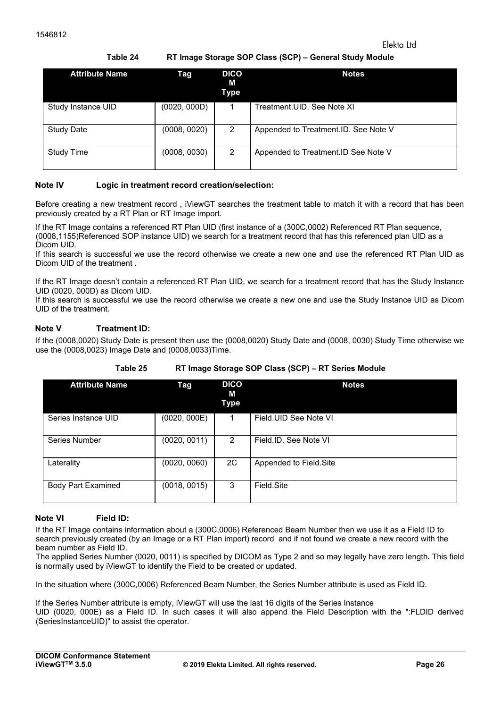**Table 24 RT Image Storage SOP Class (SCP) – General Study Module** 

| <b>Attribute Name</b> | Tag          | <b>DICO</b><br>М<br>Type | <b>Notes</b>                         |
|-----------------------|--------------|--------------------------|--------------------------------------|
| Study Instance UID    | (0020, 000D) |                          | Treatment.UID. See Note XI           |
| <b>Study Date</b>     | (0008, 0020) | 2                        | Appended to Treatment.ID. See Note V |
| <b>Study Time</b>     | (0008, 0030) | 2                        | Appended to Treatment.ID See Note V  |

#### **Note IV Logic in treatment record creation/selection:**

Before creating a new treatment record , iViewGT searches the treatment table to match it with a record that has been previously created by a RT Plan or RT Image import.

If the RT Image contains a referenced RT Plan UID (first instance of a (300C,0002) Referenced RT Plan sequence, (0008,1155)Referenced SOP instance UID) we search for a treatment record that has this referenced plan UID as a Dicom UID.

If this search is successful we use the record otherwise we create a new one and use the referenced RT Plan UID as Dicom UID of the treatment .

If the RT Image doesn't contain a referenced RT Plan UID, we search for a treatment record that has the Study Instance UID (0020, 000D) as Dicom UID.

If this search is successful we use the record otherwise we create a new one and use the Study Instance UID as Dicom UID of the treatment.

#### **Note V Treatment ID:**

If the (0008,0020) Study Date is present then use the (0008,0020) Study Date and (0008, 0030) Study Time otherwise we use the (0008,0023) Image Date and (0008,0033)Time.

| <b>Attribute Name</b>     | Tag          | <b>DICO</b><br>М<br>Type | <b>Notes</b>           |
|---------------------------|--------------|--------------------------|------------------------|
| Series Instance UID       | (0020, 000E) | 1                        | Field.UID See Note VI  |
| Series Number             | (0020, 0011) | 2                        | Field.ID. See Note VI  |
| Laterality                | (0020, 0060) | 2C                       | Appended to Field.Site |
| <b>Body Part Examined</b> | (0018, 0015) | 3                        | Field Site             |

#### **Table 25 RT Image Storage SOP Class (SCP) – RT Series Module**

#### **Note VI Field ID:**

If the RT Image contains information about a (300C,0006) Referenced Beam Number then we use it as a Field ID to search previously created (by an Image or a RT Plan import) record and if not found we create a new record with the beam number as Field ID.

The applied Series Number (0020, 0011) is specified by DICOM as Type 2 and so may legally have zero length**.** This field is normally used by iViewGT to identify the Field to be created or updated.

In the situation where (300C,0006) Referenced Beam Number, the Series Number attribute is used as Field ID.

If the Series Number attribute is empty, iViewGT will use the last 16 digits of the Series Instance UID (0020, 000E) as a Field ID. In such cases it will also append the Field Description with the ":FLDID derived (SeriesInstanceUID)" to assist the operator.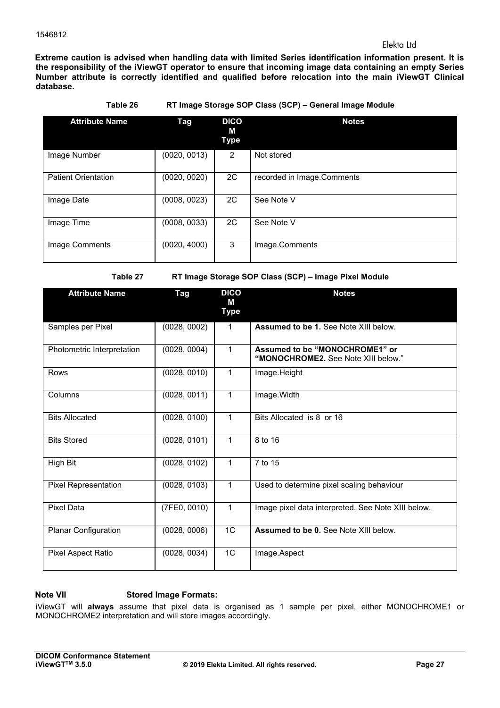#### Elekta Ltd

**Extreme caution is advised when handling data with limited Series identification information present. It is the responsibility of the iViewGT operator to ensure that incoming image data containing an empty Series Number attribute is correctly identified and qualified before relocation into the main iViewGT Clinical database.** 

| Table 26 | RT Image Storage SOP Class (SCP) - General Image Module |
|----------|---------------------------------------------------------|
|          |                                                         |

| <b>Attribute Name</b>      | Tag          | <b>DICO</b><br>М<br><b>Type</b> | <b>Notes</b>               |
|----------------------------|--------------|---------------------------------|----------------------------|
| Image Number               | (0020, 0013) | 2                               | Not stored                 |
| <b>Patient Orientation</b> | (0020, 0020) | 2C                              | recorded in Image.Comments |
| Image Date                 | (0008, 0023) | 2C                              | See Note V                 |
| Image Time                 | (0008, 0033) | 2C                              | See Note V                 |
| Image Comments             | (0020, 4000) | 3                               | Image.Comments             |

**Table 27 RT Image Storage SOP Class (SCP) – Image Pixel Module** 

| <b>Attribute Name</b>       | Tag          | <b>DICO</b><br>М<br><b>Type</b> | <b>Notes</b>                                                          |
|-----------------------------|--------------|---------------------------------|-----------------------------------------------------------------------|
| Samples per Pixel           | (0028, 0002) | 1                               | <b>Assumed to be 1. See Note XIII below.</b>                          |
| Photometric Interpretation  | (0028, 0004) | $\mathbf{1}$                    | Assumed to be "MONOCHROME1" or<br>"MONOCHROME2. See Note XIII below." |
| <b>Rows</b>                 | (0028, 0010) | $\mathbf{1}$                    | Image.Height                                                          |
| Columns                     | (0028, 0011) | $\mathbf{1}$                    | Image. Width                                                          |
| <b>Bits Allocated</b>       | (0028, 0100) | 1                               | Bits Allocated is 8 or 16                                             |
| <b>Bits Stored</b>          | (0028, 0101) | $\mathbf{1}$                    | 8 to 16                                                               |
| High Bit                    | (0028, 0102) | 1                               | 7 to 15                                                               |
| <b>Pixel Representation</b> | (0028, 0103) | $\mathbf{1}$                    | Used to determine pixel scaling behaviour                             |
| <b>Pixel Data</b>           | (7FE0, 0010) | $\mathbf{1}$                    | Image pixel data interpreted. See Note XIII below.                    |
| <b>Planar Configuration</b> | (0028, 0006) | 1C                              | <b>Assumed to be 0.</b> See Note XIII below.                          |
| Pixel Aspect Ratio          | (0028, 0034) | 1C                              | Image.Aspect                                                          |

#### **Note VII Stored Image Formats:**

iViewGT will **always** assume that pixel data is organised as 1 sample per pixel, either MONOCHROME1 or MONOCHROME2 interpretation and will store images accordingly.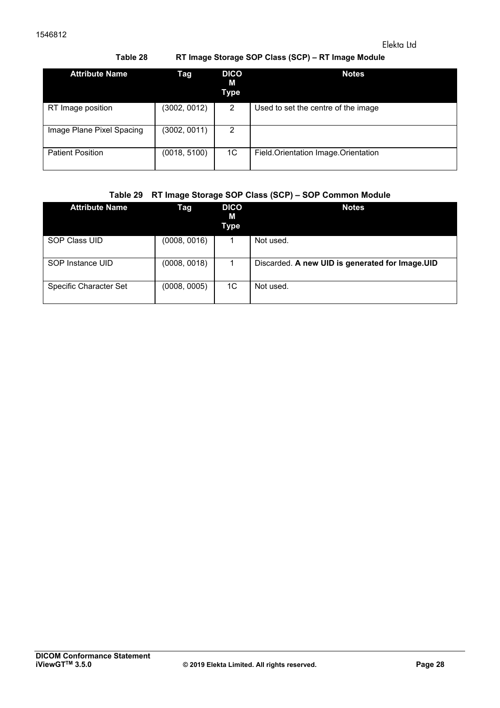#### **Table 28 RT Image Storage SOP Class (SCP) – RT Image Module**

| <b>Attribute Name</b>     | Tag          | <b>DICO</b><br>М<br>Type | <b>Notes</b>                        |
|---------------------------|--------------|--------------------------|-------------------------------------|
| RT Image position         | (3002, 0012) | 2                        | Used to set the centre of the image |
| Image Plane Pixel Spacing | (3002, 0011) | 2                        |                                     |
| <b>Patient Position</b>   | (0018, 5100) | 1C                       | Field.Orientation Image.Orientation |

### **Table 29 RT Image Storage SOP Class (SCP) – SOP Common Module**

| <b>Attribute Name</b>  | Tag          | <b>DICO</b><br>M<br>Type | <b>Notes</b>                                    |
|------------------------|--------------|--------------------------|-------------------------------------------------|
| SOP Class UID          | (0008, 0016) |                          | Not used.                                       |
| SOP Instance UID       | (0008, 0018) |                          | Discarded. A new UID is generated for Image.UID |
| Specific Character Set | (0008, 0005) | 1C                       | Not used.                                       |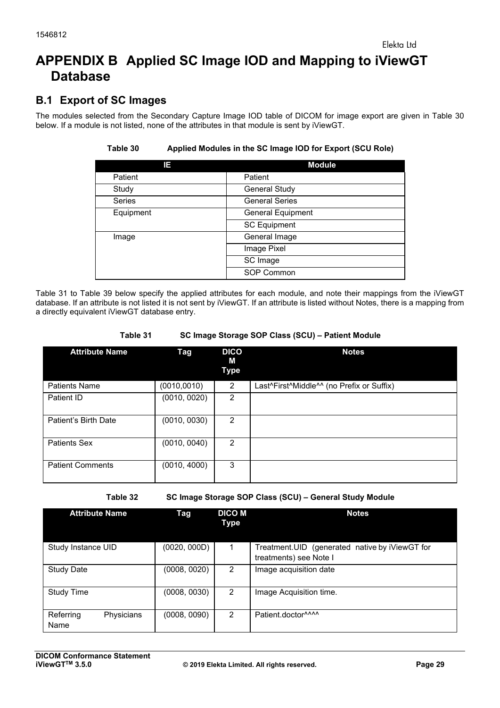### **APPENDIX B Applied SC Image IOD and Mapping to iViewGT Database**

### **B.1 Export of SC Images**

The modules selected from the Secondary Capture Image IOD table of DICOM for image export are given in Table 30 below. If a module is not listed, none of the attributes in that module is sent by iViewGT.

| IΕ            | <b>Module</b>            |
|---------------|--------------------------|
| Patient       | Patient                  |
| Study         | <b>General Study</b>     |
| <b>Series</b> | <b>General Series</b>    |
| Equipment     | <b>General Equipment</b> |
|               | <b>SC Equipment</b>      |
| Image         | General Image            |
|               | Image Pixel              |
|               | SC Image                 |
|               | SOP Common               |

#### **Table 30 Applied Modules in the SC Image IOD for Export (SCU Role)**

Table 31 to Table 39 below specify the applied attributes for each module, and note their mappings from the iViewGT database. If an attribute is not listed it is not sent by iViewGT. If an attribute is listed without Notes, there is a mapping from a directly equivalent iViewGT database entry.

| <b>Attribute Name</b>   | <b>Tag</b>   | <b>DICO</b><br>М<br>Type | <b>Notes</b>                              |
|-------------------------|--------------|--------------------------|-------------------------------------------|
| <b>Patients Name</b>    | (0010, 0010) | 2                        | Last^First^Middle^^ (no Prefix or Suffix) |
| Patient ID              | (0010, 0020) | 2                        |                                           |
| Patient's Birth Date    | (0010, 0030) | 2                        |                                           |
| <b>Patients Sex</b>     | (0010, 0040) | 2                        |                                           |
| <b>Patient Comments</b> | (0010, 4000) | 3                        |                                           |

#### **Table 31 SC Image Storage SOP Class (SCU) – Patient Module**

**Table 32 SC Image Storage SOP Class (SCU) – General Study Module** 

| <b>Attribute Name</b>           | Tag          | <b>DICO M</b><br>Type | <b>Notes</b>                                                             |
|---------------------------------|--------------|-----------------------|--------------------------------------------------------------------------|
| Study Instance UID              | (0020, 000D) | 1                     | Treatment.UID (generated native by iViewGT for<br>treatments) see Note I |
| <b>Study Date</b>               | (0008, 0020) | 2                     | Image acquisition date                                                   |
| <b>Study Time</b>               | (0008, 0030) | $\overline{2}$        | Image Acquisition time.                                                  |
| Referring<br>Physicians<br>Name | (0008, 0090) | 2                     | Patient.doctor^^^^                                                       |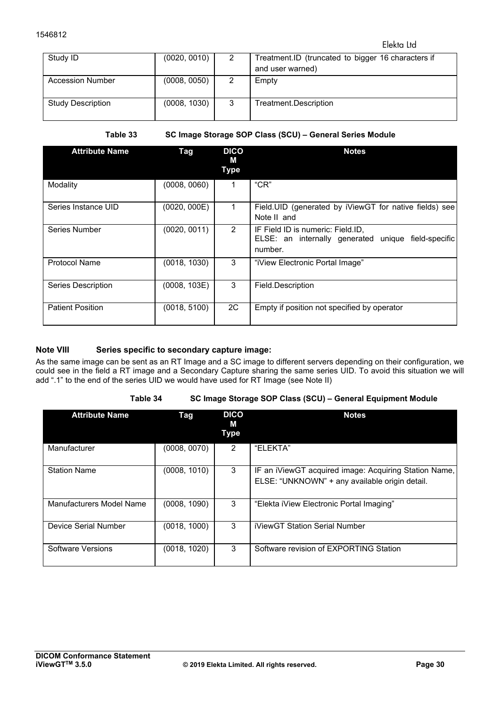| Study ID                 | (0020, 0010) |   | Treatment.ID (truncated to bigger 16 characters if<br>and user warned) |
|--------------------------|--------------|---|------------------------------------------------------------------------|
| <b>Accession Number</b>  | (0008, 0050) | 2 | Empty                                                                  |
| <b>Study Description</b> | (0008, 1030) | 3 | Treatment.Description                                                  |

|  |  | Table 33 |
|--|--|----------|
|  |  |          |

**SC Image Storage SOP Class (SCU) – General Series Module** 

| <b>Attribute Name</b>   | Tag          | <b>DICO</b><br>М<br><b>Type</b> | <b>Notes</b>                                                                                        |
|-------------------------|--------------|---------------------------------|-----------------------------------------------------------------------------------------------------|
| Modality                | (0008, 0060) | 1                               | "CR"                                                                                                |
| Series Instance UID     | (0020, 000E) |                                 | Field.UID (generated by iViewGT for native fields) see<br>Note II and                               |
| Series Number           | (0020, 0011) | 2                               | IF Field ID is numeric: Field.ID,<br>ELSE: an internally generated unique field-specific<br>number. |
| <b>Protocol Name</b>    | (0018, 1030) | 3                               | "iView Electronic Portal Image"                                                                     |
| Series Description      | (0008, 103E) | 3                               | Field.Description                                                                                   |
| <b>Patient Position</b> | (0018, 5100) | 2C                              | Empty if position not specified by operator                                                         |

#### **Note VIII Series specific to secondary capture image:**

As the same image can be sent as an RT Image and a SC image to different servers depending on their configuration, we could see in the field a RT image and a Secondary Capture sharing the same series UID. To avoid this situation we will add ".1" to the end of the series UID we would have used for RT Image (see Note II)

#### **Table 34 SC Image Storage SOP Class (SCU) – General Equipment Module**

| <b>Attribute Name</b>    | Tag          | <b>DICO</b><br>М<br><b>Type</b> | <b>Notes</b>                                                                                            |
|--------------------------|--------------|---------------------------------|---------------------------------------------------------------------------------------------------------|
| Manufacturer             | (0008, 0070) | 2                               | "ELEKTA"                                                                                                |
| <b>Station Name</b>      | (0008, 1010) | 3                               | IF an iViewGT acquired image: Acquiring Station Name,<br>ELSE: "UNKNOWN" + any available origin detail. |
| Manufacturers Model Name | (0008, 1090) | 3                               | "Elekta iView Electronic Portal Imaging"                                                                |
| Device Serial Number     | (0018, 1000) | 3                               | <b>iViewGT Station Serial Number</b>                                                                    |
| Software Versions        | (0018, 1020) | 3                               | Software revision of EXPORTING Station                                                                  |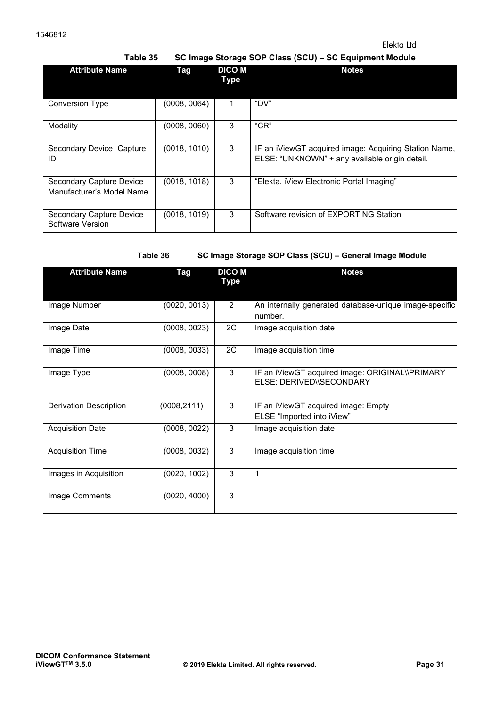#### Elekta Ltd

**Table 35 SC Image Storage SOP Class (SCU) – SC Equipment Module**

| <b>Attribute Name</b>                                 | Tag          | <b>DICO M</b><br><b>Type</b> | <b>Notes</b>                                                                                            |  |  |
|-------------------------------------------------------|--------------|------------------------------|---------------------------------------------------------------------------------------------------------|--|--|
| <b>Conversion Type</b>                                | (0008, 0064) |                              | "DV"                                                                                                    |  |  |
| Modality                                              | (0008, 0060) | 3                            | "CR"                                                                                                    |  |  |
| Secondary Device Capture<br>ID                        | (0018, 1010) | 3                            | IF an iViewGT acquired image: Acquiring Station Name,<br>ELSE: "UNKNOWN" + any available origin detail. |  |  |
| Secondary Capture Device<br>Manufacturer's Model Name | (0018, 1018) | 3                            | "Elekta. iView Electronic Portal Imaging"                                                               |  |  |
| Secondary Capture Device<br>Software Version          | (0018, 1019) | 3                            | Software revision of EXPORTING Station                                                                  |  |  |

**Table 36 SC Image Storage SOP Class (SCU) – General Image Module** 

| <b>Attribute Name</b>         | Tag          | <b>DICO M</b><br><b>Type</b> | <b>Notes</b>                                                                |
|-------------------------------|--------------|------------------------------|-----------------------------------------------------------------------------|
| Image Number                  | (0020, 0013) | $\overline{2}$               | An internally generated database-unique image-specific<br>number.           |
| Image Date                    | (0008, 0023) | 2C                           | Image acquisition date                                                      |
| Image Time                    | (0008, 0033) | 2C                           | Image acquisition time                                                      |
| Image Type                    | (0008, 0008) | 3                            | IF an iViewGT acquired image: ORIGINAL\\PRIMARY<br>ELSE: DERIVED\\SECONDARY |
| <b>Derivation Description</b> | (0008, 2111) | 3                            | IF an iViewGT acquired image: Empty<br>ELSE "Imported into iView"           |
| <b>Acquisition Date</b>       | (0008, 0022) | 3                            | Image acquisition date                                                      |
| <b>Acquisition Time</b>       | (0008, 0032) | 3                            | Image acquisition time                                                      |
| Images in Acquisition         | (0020, 1002) | 3                            | 1                                                                           |
| Image Comments                | (0020, 4000) | 3                            |                                                                             |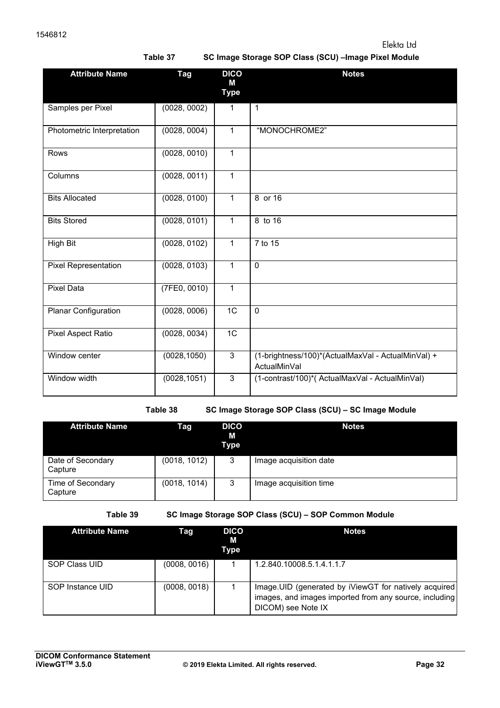#### Elekta Ltd

**Table 37 SC Image Storage SOP Class (SCU) –Image Pixel Module** 

| <b>Attribute Name</b>       | Tag          | <b>DICO</b>      | <b>Notes</b>                                                       |
|-----------------------------|--------------|------------------|--------------------------------------------------------------------|
|                             |              | M<br><b>Type</b> |                                                                    |
| Samples per Pixel           | (0028, 0002) | 1                | $\overline{1}$                                                     |
| Photometric Interpretation  | (0028, 0004) | 1                | "MONOCHROME2"                                                      |
| Rows                        | (0028, 0010) | 1                |                                                                    |
| Columns                     | (0028, 0011) | 1                |                                                                    |
| <b>Bits Allocated</b>       | (0028, 0100) | 1                | 8 or 16                                                            |
| <b>Bits Stored</b>          | (0028, 0101) | 1                | 8 to 16                                                            |
| High Bit                    | (0028, 0102) | 1                | 7 to 15                                                            |
| <b>Pixel Representation</b> | (0028, 0103) | 1                | $\mathbf 0$                                                        |
| <b>Pixel Data</b>           | (TFE0, 0010) | 1                |                                                                    |
| <b>Planar Configuration</b> | (0028, 0006) | $\overline{1C}$  | $\overline{0}$                                                     |
| <b>Pixel Aspect Ratio</b>   | (0028, 0034) | $\overline{1C}$  |                                                                    |
| Window center               | (0028, 1050) | 3                | (1-brightness/100)*(ActualMaxVal - ActualMinVal) +<br>ActualMinVal |
| Window width                | (0028, 1051) | $\overline{3}$   | (1-contrast/100)*(ActualMaxVal - ActualMinVal)                     |

**Table 38 SC Image Storage SOP Class (SCU) – SC Image Module** 

| <b>Attribute Name</b>        | Tag.         | <b>DICO</b><br>М<br>Type | <b>Notes</b>           |
|------------------------------|--------------|--------------------------|------------------------|
| Date of Secondary<br>Capture | (0018, 1012) | 3                        | Image acquisition date |
| Time of Secondary<br>Capture | (0018, 1014) | 3                        | Image acquisition time |

**Table 39 SC Image Storage SOP Class (SCU) – SOP Common Module** 

| <b>Attribute Name</b> | Tag          | <b>DICO</b><br>М<br>Type | <b>Notes</b>                                                                                                                           |
|-----------------------|--------------|--------------------------|----------------------------------------------------------------------------------------------------------------------------------------|
| <b>SOP Class UID</b>  | (0008, 0016) |                          | 1.2.840.10008.5.1.4.1.1.7                                                                                                              |
| SOP Instance UID      | (0008, 0018) |                          | Image.UID (generated by iViewGT for natively acquired)<br>images, and images imported from any source, including<br>DICOM) see Note IX |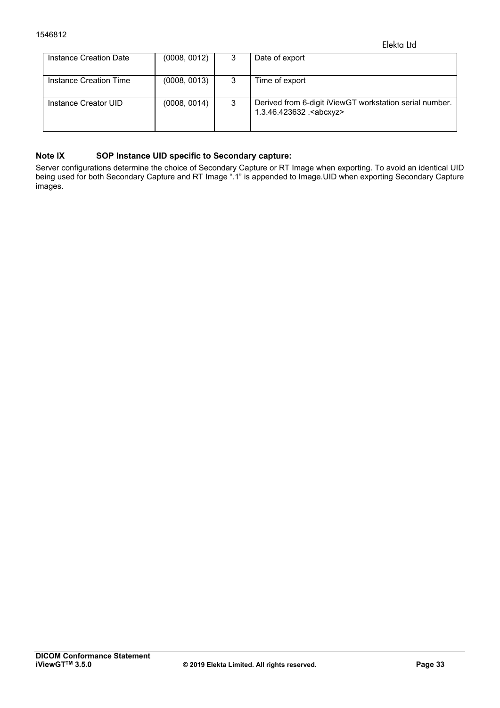| Instance Creation Date | (0008, 0012) | 3 | Date of export                                                                               |
|------------------------|--------------|---|----------------------------------------------------------------------------------------------|
| Instance Creation Time | (0008, 0013) | 3 | Time of export                                                                               |
| Instance Creator UID   | (0008, 0014) | 3 | Derived from 6-digit iViewGT workstation serial number.<br>1.3.46.423632 . <abcxyz></abcxyz> |

#### **Note IX SOP Instance UID specific to Secondary capture:**

Server configurations determine the choice of Secondary Capture or RT Image when exporting. To avoid an identical UID being used for both Secondary Capture and RT Image ".1" is appended to Image.UID when exporting Secondary Capture images.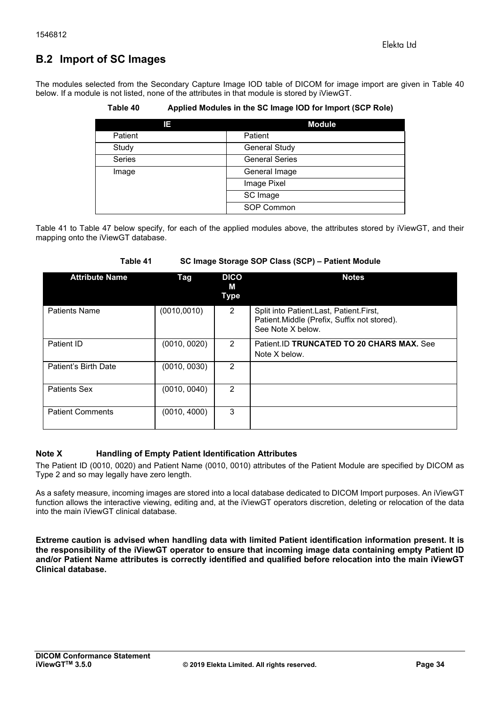### **B.2 Import of SC Images**

The modules selected from the Secondary Capture Image IOD table of DICOM for image import are given in Table 40 below. If a module is not listed, none of the attributes in that module is stored by iViewGT.

| Table 40 | Applied Modules in the SC Image IOD for Import (SCP Role) |  |
|----------|-----------------------------------------------------------|--|
|----------|-----------------------------------------------------------|--|

| 13            | <b>Module</b>         |
|---------------|-----------------------|
| Patient       | Patient               |
| Study         | <b>General Study</b>  |
| <b>Series</b> | <b>General Series</b> |
| Image         | General Image         |
|               | Image Pixel           |
|               | SC Image              |
|               | SOP Common            |

Table 41 to Table 47 below specify, for each of the applied modules above, the attributes stored by iViewGT, and their mapping onto the iViewGT database.

| <b>Attribute Name</b>   | Tag          | <b>DICO</b><br>м<br><b>Type</b> | <b>Notes</b>                                                                                                 |
|-------------------------|--------------|---------------------------------|--------------------------------------------------------------------------------------------------------------|
| <b>Patients Name</b>    | (0010, 0010) | $\overline{2}$                  | Split into Patient.Last, Patient.First,<br>Patient. Middle (Prefix, Suffix not stored).<br>See Note X below. |
| Patient ID              | (0010, 0020) | $\overline{2}$                  | Patient.ID TRUNCATED TO 20 CHARS MAX. See<br>Note X below.                                                   |
| Patient's Birth Date    | (0010, 0030) | 2                               |                                                                                                              |
| <b>Patients Sex</b>     | (0010, 0040) | 2                               |                                                                                                              |
| <b>Patient Comments</b> | (0010, 4000) | 3                               |                                                                                                              |

#### **Table 41 SC Image Storage SOP Class (SCP) – Patient Module**

#### **Note X Handling of Empty Patient Identification Attributes**

The Patient ID (0010, 0020) and Patient Name (0010, 0010) attributes of the Patient Module are specified by DICOM as Type 2 and so may legally have zero length.

As a safety measure, incoming images are stored into a local database dedicated to DICOM Import purposes. An iViewGT function allows the interactive viewing, editing and, at the iViewGT operators discretion, deleting or relocation of the data into the main iViewGT clinical database.

**Extreme caution is advised when handling data with limited Patient identification information present. It is the responsibility of the iViewGT operator to ensure that incoming image data containing empty Patient ID and/or Patient Name attributes is correctly identified and qualified before relocation into the main iViewGT Clinical database.**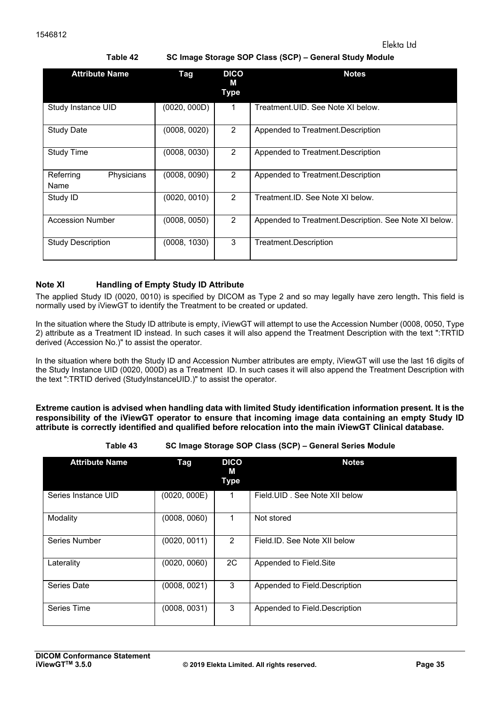**Table 42 SC Image Storage SOP Class (SCP) – General Study Module** 

| <b>Attribute Name</b>           | Tag          | <b>DICO</b><br>м<br><b>Type</b> | <b>Notes</b>                                           |
|---------------------------------|--------------|---------------------------------|--------------------------------------------------------|
| Study Instance UID              | (0020, 000D) | 1                               | Treatment.UID. See Note XI below.                      |
| <b>Study Date</b>               | (0008, 0020) | 2                               | Appended to Treatment. Description                     |
| <b>Study Time</b>               | (0008, 0030) | 2                               | Appended to Treatment. Description                     |
| Referring<br>Physicians<br>Name | (0008, 0090) | $\overline{2}$                  | Appended to Treatment. Description                     |
| Study ID                        | (0020, 0010) | $\mathfrak{p}$                  | Treatment.ID. See Note XI below.                       |
| <b>Accession Number</b>         | (0008, 0050) | $\overline{2}$                  | Appended to Treatment. Description. See Note XI below. |
| <b>Study Description</b>        | (0008, 1030) | 3                               | Treatment.Description                                  |

#### **Note XI Handling of Empty Study ID Attribute**

The applied Study ID (0020, 0010) is specified by DICOM as Type 2 and so may legally have zero length**.** This field is normally used by iViewGT to identify the Treatment to be created or updated.

In the situation where the Study ID attribute is empty, iViewGT will attempt to use the Accession Number (0008, 0050, Type 2) attribute as a Treatment ID instead. In such cases it will also append the Treatment Description with the text ":TRTID derived (Accession No.)" to assist the operator.

In the situation where both the Study ID and Accession Number attributes are empty, iViewGT will use the last 16 digits of the Study Instance UID (0020, 000D) as a Treatment ID. In such cases it will also append the Treatment Description with the text ":TRTID derived (StudyInstanceUID.)" to assist the operator.

**Extreme caution is advised when handling data with limited Study identification information present. It is the responsibility of the iViewGT operator to ensure that incoming image data containing an empty Study ID attribute is correctly identified and qualified before relocation into the main iViewGT Clinical database.** 

| Table 43 | SC Image Storage SOP Class (SCP) - General Series Module |
|----------|----------------------------------------------------------|
|----------|----------------------------------------------------------|

| <b>Attribute Name</b> | Tag          | <b>DICO</b><br>М<br><b>Type</b> | <b>Notes</b>                  |
|-----------------------|--------------|---------------------------------|-------------------------------|
| Series Instance UID   | (0020, 000E) | 1                               | Field.UID, See Note XII below |
| Modality              | (0008, 0060) | 1                               | Not stored                    |
| Series Number         | (0020, 0011) | 2                               | Field.ID. See Note XII below  |
| Laterality            | (0020, 0060) | 2C                              | Appended to Field. Site       |
| Series Date           | (0008, 0021) | 3                               | Appended to Field.Description |
| <b>Series Time</b>    | (0008, 0031) | 3                               | Appended to Field.Description |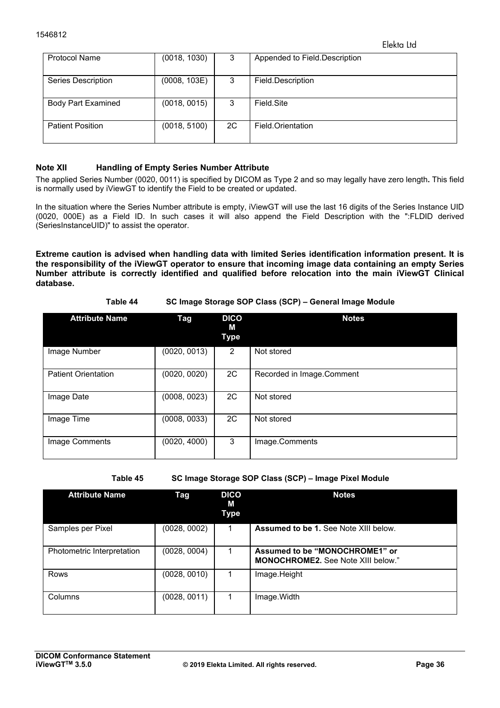| <b>Protocol Name</b>      | (0018, 1030) | 3  | Appended to Field Description |
|---------------------------|--------------|----|-------------------------------|
| <b>Series Description</b> | (0008, 103E) | 3  | Field.Description             |
| <b>Body Part Examined</b> | (0018, 0015) | 3  | Field Site                    |
| <b>Patient Position</b>   | (0018, 5100) | 2C | Field.Orientation             |

#### **Note XII Handling of Empty Series Number Attribute**

The applied Series Number (0020, 0011) is specified by DICOM as Type 2 and so may legally have zero length**.** This field is normally used by iViewGT to identify the Field to be created or updated.

In the situation where the Series Number attribute is empty, iViewGT will use the last 16 digits of the Series Instance UID (0020, 000E) as a Field ID. In such cases it will also append the Field Description with the ":FLDID derived (SeriesInstanceUID)" to assist the operator.

**Extreme caution is advised when handling data with limited Series identification information present. It is the responsibility of the iViewGT operator to ensure that incoming image data containing an empty Series Number attribute is correctly identified and qualified before relocation into the main iViewGT Clinical database.** 

#### **Table 44 SC Image Storage SOP Class (SCP) – General Image Module**

| <b>Attribute Name</b>      | <b>Tag</b>   | <b>DICO</b><br>M<br>Type | <b>Notes</b>              |
|----------------------------|--------------|--------------------------|---------------------------|
| Image Number               | (0020, 0013) | 2                        | Not stored                |
| <b>Patient Orientation</b> | (0020, 0020) | 2C                       | Recorded in Image.Comment |
| Image Date                 | (0008, 0023) | 2C                       | Not stored                |
| Image Time                 | (0008, 0033) | 2C                       | Not stored                |
| <b>Image Comments</b>      | (0020, 4000) | 3                        | Image.Comments            |

**Table 45 SC Image Storage SOP Class (SCP) – Image Pixel Module** 

| <b>Attribute Name</b>      | Tag          | <b>DICO</b><br>М<br>Type | <b>Notes</b>                                                                |
|----------------------------|--------------|--------------------------|-----------------------------------------------------------------------------|
| Samples per Pixel          | (0028, 0002) | 1.                       | <b>Assumed to be 1. See Note XIII below.</b>                                |
| Photometric Interpretation | (0028, 0004) |                          | Assumed to be "MONOCHROME1" or<br><b>MONOCHROME2.</b> See Note XIII below." |
| <b>Rows</b>                | (0028, 0010) |                          | Image.Height                                                                |
| Columns                    | (0028, 0011) |                          | Image. Width                                                                |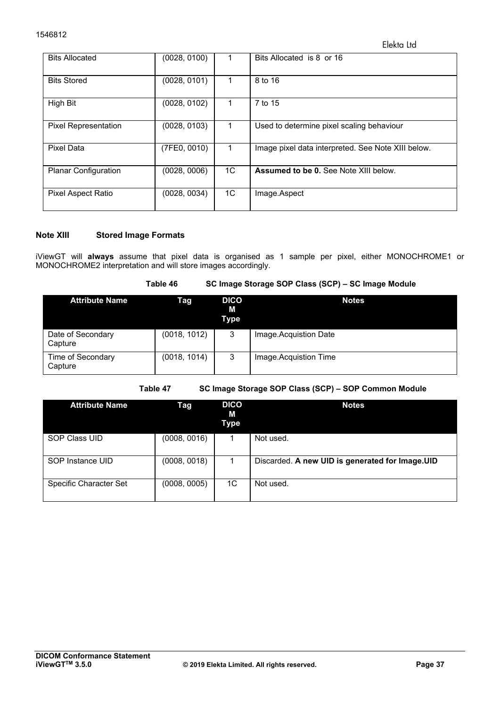| <b>Bits Allocated</b>       | (0028, 0100) |    | Bits Allocated is 8 or 16                          |
|-----------------------------|--------------|----|----------------------------------------------------|
| <b>Bits Stored</b>          | (0028, 0101) |    | 8 to 16                                            |
| <b>High Bit</b>             | (0028, 0102) | 1. | 7 to 15                                            |
| <b>Pixel Representation</b> | (0028, 0103) |    | Used to determine pixel scaling behaviour          |
| <b>Pixel Data</b>           | (7FE0, 0010) | 1  | Image pixel data interpreted. See Note XIII below. |
| <b>Planar Configuration</b> | (0028, 0006) | 1C | <b>Assumed to be 0.</b> See Note XIII below.       |
| <b>Pixel Aspect Ratio</b>   | (0028, 0034) | 1C | Image.Aspect                                       |

#### **Note XIII Stored Image Formats**

iViewGT will **always** assume that pixel data is organised as 1 sample per pixel, either MONOCHROME1 or MONOCHROME2 interpretation and will store images accordingly.

#### **Table 46 SC Image Storage SOP Class (SCP) – SC Image Module**

| <b>Attribute Name</b>        | Taq          | <b>DICO</b><br>M<br>Type | <b>Notes</b>          |
|------------------------------|--------------|--------------------------|-----------------------|
| Date of Secondary<br>Capture | (0018, 1012) | 3                        | Image.Acquistion Date |
| Time of Secondary<br>Capture | (0018, 1014) | 3                        | Image.Acquistion Time |

#### **Table 47 SC Image Storage SOP Class (SCP) – SOP Common Module**

| <b>Attribute Name</b>  | Tag          | <b>DICO</b><br>M<br>Type | <b>Notes</b>                                    |
|------------------------|--------------|--------------------------|-------------------------------------------------|
| SOP Class UID          | (0008, 0016) |                          | Not used.                                       |
| SOP Instance UID       | (0008, 0018) |                          | Discarded. A new UID is generated for Image.UID |
| Specific Character Set | (0008, 0005) | 1C                       | Not used.                                       |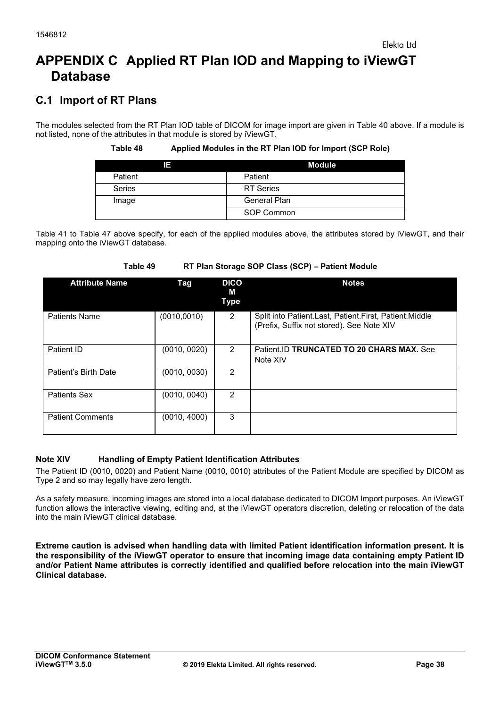### **APPENDIX C Applied RT Plan IOD and Mapping to iViewGT Database**

### **C.1 Import of RT Plans**

The modules selected from the RT Plan IOD table of DICOM for image import are given in Table 40 above. If a module is not listed, none of the attributes in that module is stored by iViewGT.

#### **Table 48 Applied Modules in the RT Plan IOD for Import (SCP Role)**

| 13            | Module           |
|---------------|------------------|
| Patient       | Patient          |
| <b>Series</b> | <b>RT</b> Series |
| Image         | General Plan     |
|               | SOP Common       |

Table 41 to Table 47 above specify, for each of the applied modules above, the attributes stored by iViewGT, and their mapping onto the iViewGT database.

#### **Table 49 RT Plan Storage SOP Class (SCP) – Patient Module**

| <b>Attribute Name</b>   | Tag          | <b>DICO</b><br>М<br>Type | <b>Notes</b>                                                                                        |
|-------------------------|--------------|--------------------------|-----------------------------------------------------------------------------------------------------|
| <b>Patients Name</b>    | (0010, 0010) | 2                        | Split into Patient.Last, Patient.First, Patient.Middle<br>(Prefix, Suffix not stored). See Note XIV |
| Patient ID              | (0010, 0020) | 2                        | Patient.ID TRUNCATED TO 20 CHARS MAX. See<br>Note XIV                                               |
| Patient's Birth Date    | (0010, 0030) | 2                        |                                                                                                     |
| <b>Patients Sex</b>     | (0010, 0040) | 2                        |                                                                                                     |
| <b>Patient Comments</b> | (0010, 4000) | 3                        |                                                                                                     |

#### **Note XIV Handling of Empty Patient Identification Attributes**

The Patient ID (0010, 0020) and Patient Name (0010, 0010) attributes of the Patient Module are specified by DICOM as Type 2 and so may legally have zero length.

As a safety measure, incoming images are stored into a local database dedicated to DICOM Import purposes. An iViewGT function allows the interactive viewing, editing and, at the iViewGT operators discretion, deleting or relocation of the data into the main iViewGT clinical database.

**Extreme caution is advised when handling data with limited Patient identification information present. It is the responsibility of the iViewGT operator to ensure that incoming image data containing empty Patient ID and/or Patient Name attributes is correctly identified and qualified before relocation into the main iViewGT Clinical database.**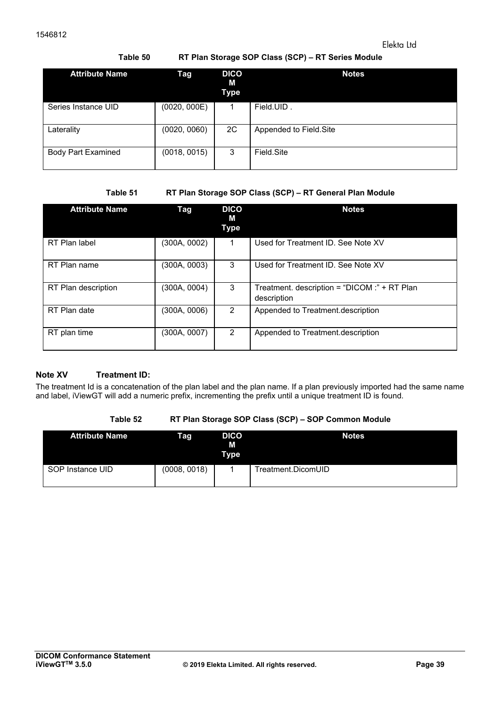#### **Table 50 RT Plan Storage SOP Class (SCP) – RT Series Module**

| <b>Attribute Name</b>     | Tag          | <b>DICO</b><br>М<br>Type | <b>Notes</b>           |
|---------------------------|--------------|--------------------------|------------------------|
| Series Instance UID       | (0020, 000E) | 1                        | Field.UID.             |
| Laterality                | (0020, 0060) | 2C                       | Appended to Field.Site |
| <b>Body Part Examined</b> | (0018, 0015) | 3                        | Field Site             |

#### **Table 51 RT Plan Storage SOP Class (SCP) – RT General Plan Module**

| <b>Attribute Name</b> | Tag          | <b>DICO</b><br>М<br>Type | <b>Notes</b>                                                |
|-----------------------|--------------|--------------------------|-------------------------------------------------------------|
| RT Plan label         | (300A, 0002) | 1                        | Used for Treatment ID. See Note XV                          |
| RT Plan name          | (300A, 0003) | 3                        | Used for Treatment ID. See Note XV                          |
| RT Plan description   | (300A, 0004) | 3                        | Treatment. description = "DICOM :" + RT Plan<br>description |
| RT Plan date          | (300A, 0006) | 2                        | Appended to Treatment.description                           |
| RT plan time          | (300A, 0007) | 2                        | Appended to Treatment.description                           |

#### **Note XV Treatment ID:**

The treatment Id is a concatenation of the plan label and the plan name. If a plan previously imported had the same name and label, iViewGT will add a numeric prefix, incrementing the prefix until a unique treatment ID is found.

#### **Table 52 RT Plan Storage SOP Class (SCP) – SOP Common Module**

| <b>Attribute Name</b> | Tag          | <b>DICO</b><br>M<br>Type | <b>Notes</b>       |
|-----------------------|--------------|--------------------------|--------------------|
| SOP Instance UID      | (0008, 0018) |                          | Treatment.DicomUID |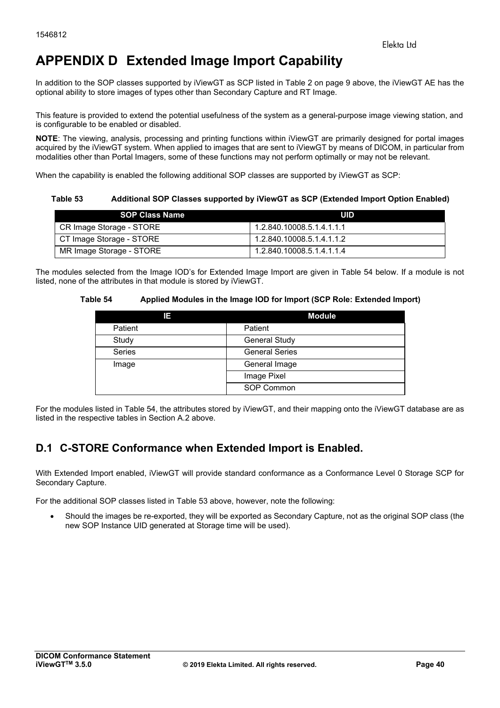### **APPENDIX D Extended Image Import Capability**

In addition to the SOP classes supported by iViewGT as SCP listed in Table 2 on page 9 above, the iViewGT AE has the optional ability to store images of types other than Secondary Capture and RT Image.

This feature is provided to extend the potential usefulness of the system as a general-purpose image viewing station, and is configurable to be enabled or disabled.

**NOTE**: The viewing, analysis, processing and printing functions within iViewGT are primarily designed for portal images acquired by the iViewGT system. When applied to images that are sent to iViewGT by means of DICOM, in particular from modalities other than Portal Imagers, some of these functions may not perform optimally or may not be relevant.

When the capability is enabled the following additional SOP classes are supported by iViewGT as SCP:

**Table 53 Additional SOP Classes supported by iViewGT as SCP (Extended Import Option Enabled)** 

| <b>SOP Class Name</b>    | UID                       |
|--------------------------|---------------------------|
| CR Image Storage - STORE | 1.2.840.10008.5.1.4.1.1.1 |
| CT Image Storage - STORE | 1.2.840.10008.5.1.4.1.1.2 |
| MR Image Storage - STORE | 1.2.840.10008.5.1.4.1.1.4 |

The modules selected from the Image IOD's for Extended Image Import are given in Table 54 below. If a module is not listed, none of the attributes in that module is stored by iViewGT.

#### **Table 54 Applied Modules in the Image IOD for Import (SCP Role: Extended Import)**

| IΕ            | <b>Module</b>         |
|---------------|-----------------------|
| Patient       | Patient               |
| Study         | <b>General Study</b>  |
| <b>Series</b> | <b>General Series</b> |
| Image         | General Image         |
|               | Image Pixel           |
|               | SOP Common            |

For the modules listed in Table 54, the attributes stored by iViewGT, and their mapping onto the iViewGT database are as listed in the respective tables in Section A.2 above.

### **D.1 C-STORE Conformance when Extended Import is Enabled.**

With Extended Import enabled, iViewGT will provide standard conformance as a Conformance Level 0 Storage SCP for Secondary Capture.

For the additional SOP classes listed in Table 53 above, however, note the following:

 Should the images be re-exported, they will be exported as Secondary Capture, not as the original SOP class (the new SOP Instance UID generated at Storage time will be used).